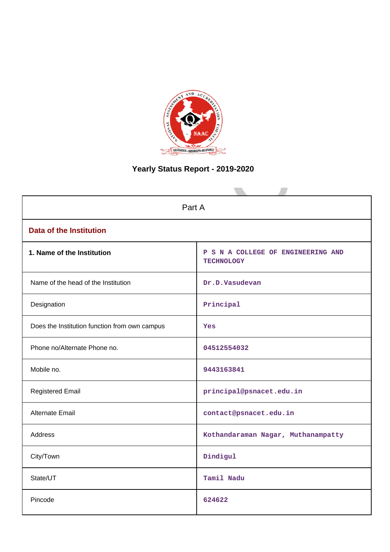

# **Yearly Status Report - 2019-2020**

| Part A                                        |                                                         |  |  |
|-----------------------------------------------|---------------------------------------------------------|--|--|
| <b>Data of the Institution</b>                |                                                         |  |  |
| 1. Name of the Institution                    | P S N A COLLEGE OF ENGINEERING AND<br><b>TECHNOLOGY</b> |  |  |
| Name of the head of the Institution           | Dr.D.Vasudevan                                          |  |  |
| Designation                                   | Principal                                               |  |  |
| Does the Institution function from own campus | Yes                                                     |  |  |
| Phone no/Alternate Phone no.                  | 04512554032                                             |  |  |
| Mobile no.                                    | 9443163841                                              |  |  |
| <b>Registered Email</b>                       | principal@psnacet.edu.in                                |  |  |
| <b>Alternate Email</b>                        | contact@psnacet.edu.in                                  |  |  |
| <b>Address</b>                                | Kothandaraman Nagar, Muthanampatty                      |  |  |
| City/Town                                     | Dindigul                                                |  |  |
| State/UT                                      | Tamil Nadu                                              |  |  |
| Pincode                                       | 624622                                                  |  |  |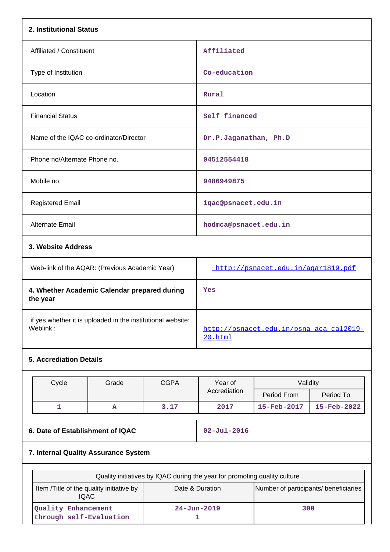| 2. Institutional Status                        |                                    |  |  |  |
|------------------------------------------------|------------------------------------|--|--|--|
| Affiliated / Constituent                       | Affiliated                         |  |  |  |
| Type of Institution                            | Co-education                       |  |  |  |
| Location                                       | Rural                              |  |  |  |
| <b>Financial Status</b>                        | Self financed                      |  |  |  |
| Name of the IQAC co-ordinator/Director         | Dr.P.Jaganathan, Ph.D              |  |  |  |
| Phone no/Alternate Phone no.                   | 04512554418                        |  |  |  |
| Mobile no.                                     | 9486949875                         |  |  |  |
| <b>Registered Email</b>                        | iqac@psnacet.edu.in                |  |  |  |
| <b>Alternate Email</b>                         | hodmca@psnacet.edu.in              |  |  |  |
| 3. Website Address                             |                                    |  |  |  |
| Web-link of the AQAR: (Previous Academic Year) | http://psnacet.edu.in/agar1819.pdf |  |  |  |

| <b><i>I</i></b> YVED-IIIIN OF LITE AQAIN. IT TEVIOUS ACQUEITIIC TEQIT    | $11UUV$ , $11V$ $11V$ $11V$ $11V$ $11V$ $11V$ $11V$ |
|--------------------------------------------------------------------------|-----------------------------------------------------|
| 4. Whether Academic Calendar prepared during<br>the year                 | Yes                                                 |
| if yes, whether it is uploaded in the institutional website:<br>Weblink: | http://psnacet.edu.in/psna aca cal2019-<br>20.html  |

# **5. Accrediation Details**

|                                      | Cycle                            | Grade | <b>CGPA</b> | Year of<br>Accrediation | Validity    |             |
|--------------------------------------|----------------------------------|-------|-------------|-------------------------|-------------|-------------|
|                                      |                                  |       |             |                         |             |             |
|                                      |                                  |       |             |                         | Period From | Period To   |
|                                      |                                  | A     | 3.17        | 2017                    | 15-Feb-2017 | 15-Feb-2022 |
|                                      |                                  |       |             |                         |             |             |
|                                      | 6. Date of Establishment of IQAC |       |             | $02 - Ju1 - 2016$       |             |             |
| 7. Internal Quality Assurance System |                                  |       |             |                         |             |             |

| Quality initiatives by IQAC during the year for promoting quality culture |                                       |     |  |  |
|---------------------------------------------------------------------------|---------------------------------------|-----|--|--|
| Item /Title of the quality initiative by<br><b>IQAC</b>                   | Number of participants/ beneficiaries |     |  |  |
| Quality Enhancement<br>through self-Evaluation                            | $24 - Jun - 2019$                     | 300 |  |  |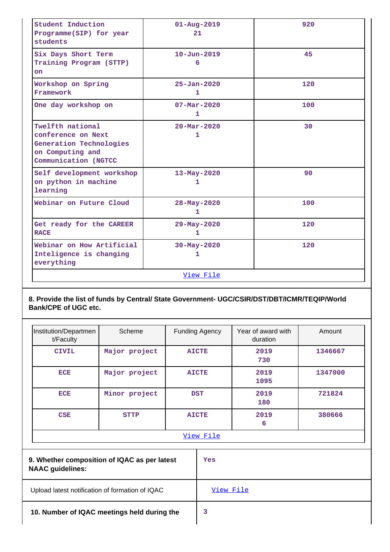| Student Induction<br>Programme(SIP) for year<br>students                                                      | $01 - Aug - 2019$<br>21       | 920 |
|---------------------------------------------------------------------------------------------------------------|-------------------------------|-----|
| Six Days Short Term<br>Training Program (STTP)<br>on                                                          | $10 - Jun - 2019$<br>6        | 45  |
| Workshop on Spring<br>Framework                                                                               | $25 - Jan - 2020$<br>1        | 120 |
| One day workshop on                                                                                           | $07 - Mar - 2020$<br>1        | 100 |
| Twelfth national<br>conference on Next<br>Generation Technologies<br>on Computing and<br>Communication (NGTCC | $20 - \text{Mar} - 2020$<br>1 | 30  |
| Self development workshop<br>on python in machine<br>learning                                                 | $13 - May - 2020$<br>1        | 90  |
| Webinar on Future Cloud                                                                                       | 28-May-2020<br>1              | 100 |
| Get ready for the CAREER<br><b>RACE</b>                                                                       | 29-May-2020<br>$\mathbf{1}$   | 120 |
| Webinar on How Artificial<br>Inteligence is changing<br>everything                                            | 30-May-2020<br>$\mathbf{1}$   | 120 |
|                                                                                                               | View File                     |     |

# **8. Provide the list of funds by Central/ State Government- UGC/CSIR/DST/DBT/ICMR/TEQIP/World Bank/CPE of UGC etc.**

| Institution/Departmen<br>t/Faculty                                      | Scheme        |           | <b>Funding Agency</b> | Year of award with<br>duration | Amount  |  |
|-------------------------------------------------------------------------|---------------|-----------|-----------------------|--------------------------------|---------|--|
| <b>CIVIL</b>                                                            | Major project |           | <b>AICTE</b>          | 2019<br>730                    | 1346667 |  |
| <b>ECE</b>                                                              | Major project |           | <b>AICTE</b>          | 2019<br>1095                   | 1347000 |  |
| <b>ECE</b>                                                              | Minor project |           | <b>DST</b>            | 2019<br>180                    | 721824  |  |
| <b>CSE</b>                                                              | <b>STTP</b>   |           | <b>AICTE</b>          | 2019<br>6                      | 380666  |  |
|                                                                         |               | View File |                       |                                |         |  |
| 9. Whether composition of IQAC as per latest<br><b>NAAC</b> guidelines: |               |           | Yes                   |                                |         |  |
| Upload latest notification of formation of IQAC                         |               |           | View File             |                                |         |  |
|                                                                         |               |           |                       |                                |         |  |

 **10. Number of IQAC meetings held during the 3**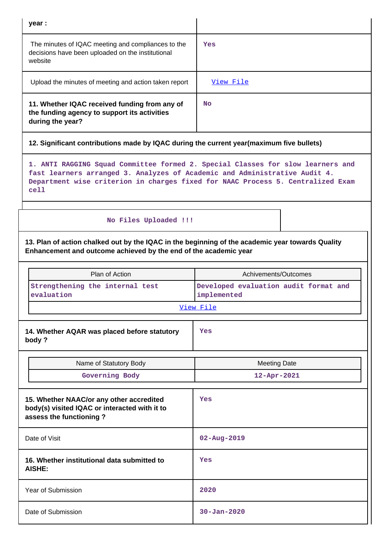| year :                                                                                                             |           |
|--------------------------------------------------------------------------------------------------------------------|-----------|
| The minutes of IQAC meeting and compliances to the<br>decisions have been uploaded on the institutional<br>website | Yes       |
| Upload the minutes of meeting and action taken report                                                              | View File |
| 11. Whether IQAC received funding from any of<br>the funding agency to support its activities<br>during the year?  | <b>No</b> |

# **12. Significant contributions made by IQAC during the current year(maximum five bullets)**

**1. ANTI RAGGING Squad Committee formed 2. Special Classes for slow learners and fast learners arranged 3. Analyzes of Academic and Administrative Audit 4. Department wise criterion in charges fixed for NAAC Process 5. Centralized Exam cell**

# **No Files Uploaded !!!**

**13. Plan of action chalked out by the IQAC in the beginning of the academic year towards Quality Enhancement and outcome achieved by the end of the academic year**

| Plan of Action                                                                                                       | Achivements/Outcomes                                 |
|----------------------------------------------------------------------------------------------------------------------|------------------------------------------------------|
| Strengthening the internal test<br>evaluation                                                                        | Developed evaluation audit format and<br>implemented |
|                                                                                                                      | View File                                            |
| 14. Whether AQAR was placed before statutory<br>body?                                                                | Yes                                                  |
| Name of Statutory Body                                                                                               | <b>Meeting Date</b>                                  |
| Governing Body                                                                                                       | 12-Apr-2021                                          |
| 15. Whether NAAC/or any other accredited<br>body(s) visited IQAC or interacted with it to<br>assess the functioning? | Yes                                                  |
| Date of Visit                                                                                                        | $02 - Aug - 2019$                                    |
| 16. Whether institutional data submitted to<br>AISHE:                                                                | <b>Yes</b>                                           |
| <b>Year of Submission</b>                                                                                            | 2020                                                 |
| Date of Submission                                                                                                   | $30 - Jan - 2020$                                    |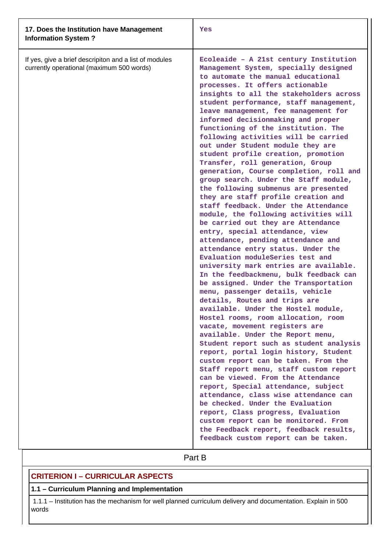| 17. Does the Institution have Management<br><b>Information System?</b>                              | Yes                                                                                                                                                                                                                                                                                                                                                                                                                                                                                                                                                                                                                                                                                                                                                                                                                                                                                                                                                                                                                                                                                                                                                                                                                                                                                                                                                                                                                                                                                                                                                                                                                                                                                                                                                                                                                                      |
|-----------------------------------------------------------------------------------------------------|------------------------------------------------------------------------------------------------------------------------------------------------------------------------------------------------------------------------------------------------------------------------------------------------------------------------------------------------------------------------------------------------------------------------------------------------------------------------------------------------------------------------------------------------------------------------------------------------------------------------------------------------------------------------------------------------------------------------------------------------------------------------------------------------------------------------------------------------------------------------------------------------------------------------------------------------------------------------------------------------------------------------------------------------------------------------------------------------------------------------------------------------------------------------------------------------------------------------------------------------------------------------------------------------------------------------------------------------------------------------------------------------------------------------------------------------------------------------------------------------------------------------------------------------------------------------------------------------------------------------------------------------------------------------------------------------------------------------------------------------------------------------------------------------------------------------------------------|
| If yes, give a brief descripiton and a list of modules<br>currently operational (maximum 500 words) | Ecoleaide - A 21st century Institution<br>Management System, specially designed<br>to automate the manual educational<br>processes. It offers actionable<br>insights to all the stakeholders across<br>student performance, staff management,<br>leave management, fee management for<br>informed decisionmaking and proper<br>functioning of the institution. The<br>following activities will be carried<br>out under Student module they are<br>student profile creation, promotion<br>Transfer, roll generation, Group<br>generation, Course completion, roll and<br>group search. Under the Staff module,<br>the following submenus are presented<br>they are staff profile creation and<br>staff feedback. Under the Attendance<br>module, the following activities will<br>be carried out they are Attendance<br>entry, special attendance, view<br>attendance, pending attendance and<br>attendance entry status. Under the<br>Evaluation moduleSeries test and<br>university mark entries are available.<br>In the feedbackmenu, bulk feedback can<br>be assigned. Under the Transportation<br>menu, passenger details, vehicle<br>details, Routes and trips are<br>available. Under the Hostel module,<br>Hostel rooms, room allocation, room<br>vacate, movement registers are<br>available. Under the Report menu,<br>Student report such as student analysis<br>report, portal login history, Student<br>custom report can be taken. From the<br>Staff report menu, staff custom report<br>can be viewed. From the Attendance<br>report, Special attendance, subject<br>attendance, class wise attendance can<br>be checked. Under the Evaluation<br>report, Class progress, Evaluation<br>custom report can be monitored. From<br>the Feedback report, feedback results,<br>feedback custom report can be taken.<br>Part B |
|                                                                                                     |                                                                                                                                                                                                                                                                                                                                                                                                                                                                                                                                                                                                                                                                                                                                                                                                                                                                                                                                                                                                                                                                                                                                                                                                                                                                                                                                                                                                                                                                                                                                                                                                                                                                                                                                                                                                                                          |

# **CRITERION I – CURRICULAR ASPECTS**

# **1.1 – Curriculum Planning and Implementation**

 1.1.1 – Institution has the mechanism for well planned curriculum delivery and documentation. Explain in 500 words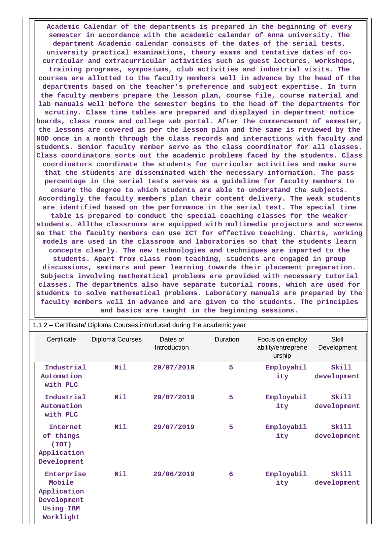**Academic Calendar of the departments is prepared in the beginning of every semester in accordance with the academic calendar of Anna university. The department Academic calendar consists of the dates of the serial tests, university practical examinations, theory exams and tentative dates of cocurricular and extracurricular activities such as guest lectures, workshops, training programs, symposiums, club activities and industrial visits. The courses are allotted to the faculty members well in advance by the head of the departments based on the teacher's preference and subject expertise. In turn the faculty members prepare the lesson plan, course file, course material and lab manuals well before the semester begins to the head of the departments for scrutiny. Class time tables are prepared and displayed in department notice boards, class rooms and college web portal. After the commencement of semester, the lessons are covered as per the lesson plan and the same is reviewed by the HOD once in a month through the class records and interactions with faculty and students. Senior faculty member serve as the class coordinator for all classes. Class coordinators sorts out the academic problems faced by the students. Class coordinators coordinate the students for curricular activities and make sure that the students are disseminated with the necessary information. The pass percentage in the serial tests serves as a guideline for faculty members to ensure the degree to which students are able to understand the subjects. Accordingly the faculty members plan their content delivery. The weak students are identified based on the performance in the serial test. The special time table is prepared to conduct the special coaching classes for the weaker students. Allthe classrooms are equipped with multimedia projectors and screens so that the faculty members can use ICT for effective teaching. Charts, working models are used in the classroom and laboratories so that the students learn concepts clearly. The new technologies and techniques are imparted to the students. Apart from class room teaching, students are engaged in group discussions, seminars and peer learning towards their placement preparation. Subjects involving mathematical problems are provided with necessary tutorial classes. The departments also have separate tutorial rooms, which are used for students to solve mathematical problems. Laboratory manuals are prepared by the faculty members well in advance and are given to the students. The principles and basics are taught in the beginning sessions.**

|                                                                                     | $1.1.2 -$ Certificate/ Diploma Courses introduced during the academic year |                                 |          |                                                 |                      |
|-------------------------------------------------------------------------------------|----------------------------------------------------------------------------|---------------------------------|----------|-------------------------------------------------|----------------------|
| Certificate                                                                         | Diploma Courses                                                            | Dates of<br><b>Introduction</b> | Duration | Focus on employ<br>ability/entreprene<br>urship | Skill<br>Development |
| Industrial<br>Automation<br>with PLC                                                | Nil                                                                        | 29/07/2019                      | 5        | Employabil<br>ity                               | Skill<br>development |
| Industrial<br>Automation<br>with PLC                                                | Nil                                                                        | 29/07/2019                      | 5        | Employabil<br>ity                               | Skill<br>development |
| <b>Internet</b><br>of things<br>(IOT)<br>Application<br>Development                 | Nil                                                                        | 29/07/2019                      | 5        | Employabil<br>ity                               | Skill<br>development |
| Enterprise<br>Mobile<br>Application<br>Development<br><b>Using IBM</b><br>Worklight | Nil                                                                        | 29/06/2019                      | 6        | Employabil<br>ity                               | Skill<br>development |

1.1.2 – Certificate/ Diploma Courses introduced during the academic year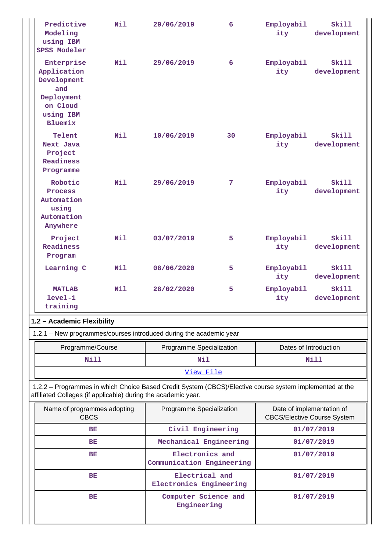| Predictive<br>Modeling<br>using IBM<br><b>SPSS Modeler</b>                                                                                                               | N11 | 29/06/2019                                   | 6                                                 | Employabil<br>ity                                               | Skill<br>development |
|--------------------------------------------------------------------------------------------------------------------------------------------------------------------------|-----|----------------------------------------------|---------------------------------------------------|-----------------------------------------------------------------|----------------------|
| Enterprise<br>Application<br>Development<br>and<br>Deployment<br>on Cloud<br>using IBM<br><b>Bluemix</b>                                                                 | Nil | 29/06/2019                                   | 6                                                 | Employabil<br>ity                                               | Skill<br>development |
| Telent<br>Next Java<br>Project<br>Readiness<br>Programme                                                                                                                 | N11 | 10/06/2019                                   | 30                                                | Employabil<br>ity                                               | Skill<br>development |
| Robotic<br>Process<br>Automation<br>using<br>Automation<br>Anywhere                                                                                                      | N11 | 29/06/2019                                   | 7                                                 | Employabil<br>ity                                               | Skill<br>development |
| Project<br>Readiness<br>Program                                                                                                                                          | N11 | 03/07/2019                                   | 5.                                                | Employabil<br>ity                                               | Skill<br>development |
| Learning C                                                                                                                                                               | Nil | 08/06/2020                                   | 5                                                 | Employabil<br>ity                                               | Skill<br>development |
| <b>MATLAB</b><br>$level-1$<br>training                                                                                                                                   | N11 | 28/02/2020                                   | 5                                                 | Employabil<br>ity                                               | Skill<br>development |
| 1.2 - Academic Flexibility                                                                                                                                               |     |                                              |                                                   |                                                                 |                      |
| 1.2.1 - New programmes/courses introduced during the academic year                                                                                                       |     |                                              |                                                   |                                                                 |                      |
| Programme/Course                                                                                                                                                         |     |                                              | Programme Specialization<br>Dates of Introduction |                                                                 |                      |
| Nill                                                                                                                                                                     |     | Nil                                          |                                                   | Nill                                                            |                      |
|                                                                                                                                                                          |     | View File                                    |                                                   |                                                                 |                      |
| 1.2.2 - Programmes in which Choice Based Credit System (CBCS)/Elective course system implemented at the<br>affiliated Colleges (if applicable) during the academic year. |     |                                              |                                                   |                                                                 |                      |
| Name of programmes adopting<br><b>CBCS</b>                                                                                                                               |     | Programme Specialization                     |                                                   | Date of implementation of<br><b>CBCS/Elective Course System</b> |                      |
| ВE                                                                                                                                                                       |     |                                              | Civil Engineering                                 | 01/07/2019                                                      |                      |
| ВE                                                                                                                                                                       |     |                                              | Mechanical Engineering                            | 01/07/2019                                                      |                      |
| ВE                                                                                                                                                                       |     | Electronics and<br>Communication Engineering |                                                   |                                                                 | 01/07/2019           |
| BE                                                                                                                                                                       |     |                                              | Electrical and<br>Electronics Engineering         |                                                                 | 01/07/2019           |
| ВE                                                                                                                                                                       |     | Computer Science and<br>Engineering          |                                                   |                                                                 | 01/07/2019           |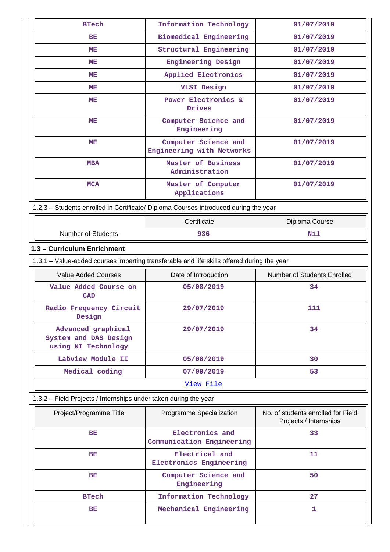| <b>BTech</b>                                                                         | Information Technology                                                                     | 01/07/2019                                                   |  |  |  |  |  |  |
|--------------------------------------------------------------------------------------|--------------------------------------------------------------------------------------------|--------------------------------------------------------------|--|--|--|--|--|--|
|                                                                                      |                                                                                            |                                                              |  |  |  |  |  |  |
| BE                                                                                   | Biomedical Engineering                                                                     | 01/07/2019                                                   |  |  |  |  |  |  |
| MЕ                                                                                   | Structural Engineering                                                                     | 01/07/2019                                                   |  |  |  |  |  |  |
| MЕ                                                                                   | Engineering Design                                                                         | 01/07/2019                                                   |  |  |  |  |  |  |
| MЕ                                                                                   | Applied Electronics                                                                        | 01/07/2019                                                   |  |  |  |  |  |  |
| MЕ                                                                                   | VLSI Design                                                                                | 01/07/2019                                                   |  |  |  |  |  |  |
| MЕ                                                                                   | Power Electronics &<br>Drives                                                              | 01/07/2019                                                   |  |  |  |  |  |  |
| MЕ                                                                                   | Computer Science and<br>Engineering                                                        | 01/07/2019                                                   |  |  |  |  |  |  |
| MЕ                                                                                   | Computer Science and<br>Engineering with Networks                                          | 01/07/2019                                                   |  |  |  |  |  |  |
| <b>MBA</b>                                                                           | Master of Business<br>Administration                                                       | 01/07/2019                                                   |  |  |  |  |  |  |
| <b>MCA</b>                                                                           | Master of Computer<br>Applications                                                         | 01/07/2019                                                   |  |  |  |  |  |  |
| 1.2.3 - Students enrolled in Certificate/ Diploma Courses introduced during the year |                                                                                            |                                                              |  |  |  |  |  |  |
|                                                                                      | Certificate                                                                                | Diploma Course                                               |  |  |  |  |  |  |
| <b>Number of Students</b>                                                            | 936                                                                                        | Nil                                                          |  |  |  |  |  |  |
| 1.3 - Curriculum Enrichment                                                          |                                                                                            |                                                              |  |  |  |  |  |  |
|                                                                                      | 1.3.1 - Value-added courses imparting transferable and life skills offered during the year |                                                              |  |  |  |  |  |  |
| <b>Value Added Courses</b>                                                           | Date of Introduction                                                                       | Number of Students Enrolled                                  |  |  |  |  |  |  |
| Value Added Course on                                                                | 05/08/2019                                                                                 | 34                                                           |  |  |  |  |  |  |
| <b>CAD</b>                                                                           |                                                                                            |                                                              |  |  |  |  |  |  |
| Radio Frequency Circuit<br>Design                                                    | 29/07/2019                                                                                 | 111                                                          |  |  |  |  |  |  |
| Advanced graphical<br>System and DAS Design<br>using NI Technology                   | 29/07/2019                                                                                 | 34                                                           |  |  |  |  |  |  |
| Labview Module II                                                                    | 05/08/2019                                                                                 | 30                                                           |  |  |  |  |  |  |
| Medical coding                                                                       | 07/09/2019                                                                                 | 53                                                           |  |  |  |  |  |  |
|                                                                                      | View File                                                                                  |                                                              |  |  |  |  |  |  |
| 1.3.2 - Field Projects / Internships under taken during the year                     |                                                                                            |                                                              |  |  |  |  |  |  |
| Project/Programme Title                                                              | Programme Specialization                                                                   | No. of students enrolled for Field<br>Projects / Internships |  |  |  |  |  |  |
| <b>BE</b>                                                                            | Electronics and                                                                            | 33                                                           |  |  |  |  |  |  |
|                                                                                      | Communication Engineering                                                                  |                                                              |  |  |  |  |  |  |
| BE                                                                                   | Electrical and<br>Electronics Engineering                                                  | 11                                                           |  |  |  |  |  |  |
| BE                                                                                   | Computer Science and<br>Engineering                                                        | 50                                                           |  |  |  |  |  |  |
| <b>BTech</b>                                                                         |                                                                                            |                                                              |  |  |  |  |  |  |
|                                                                                      | Information Technology                                                                     | 27                                                           |  |  |  |  |  |  |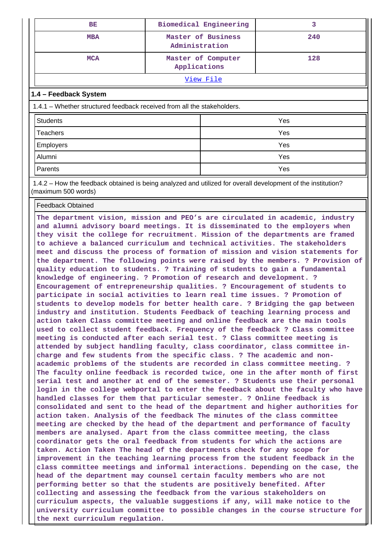| BE                                                                      |                | Biomedical Engineering | 3   |  |
|-------------------------------------------------------------------------|----------------|------------------------|-----|--|
| <b>MBA</b>                                                              | Administration | Master of Business     | 240 |  |
| <b>MCA</b>                                                              | Applications   | Master of Computer     | 128 |  |
|                                                                         |                | <u>View File</u>       |     |  |
| 1.4 - Feedback System                                                   |                |                        |     |  |
| 1.4.1 – Whether structured feedback received from all the stakeholders. |                |                        |     |  |
| <b>Students</b>                                                         |                | Yes                    |     |  |
| <b>Teachers</b>                                                         |                | Yes                    |     |  |
| Employers                                                               |                | Yes                    |     |  |
| Alumni                                                                  |                | Yes                    |     |  |
| Parents                                                                 |                | Yes                    |     |  |

 1.4.2 – How the feedback obtained is being analyzed and utilized for overall development of the institution? (maximum 500 words)

Feedback Obtained

**The department vision, mission and PEO's are circulated in academic, industry and alumni advisory board meetings. It is disseminated to the employers when they visit the college for recruitment. Mission of the departments are framed to achieve a balanced curriculum and technical activities. The stakeholders meet and discuss the process of formation of mission and vision statements for the department. The following points were raised by the members. ? Provision of quality education to students. ? Training of students to gain a fundamental knowledge of engineering. ? Promotion of research and development. ? Encouragement of entrepreneurship qualities. ? Encouragement of students to participate in social activities to learn real time issues. ? Promotion of students to develop models for better health care. ? Bridging the gap between industry and institution. Students Feedback of teaching learning process and action taken Class committee meeting and online feedback are the main tools used to collect student feedback. Frequency of the feedback ? Class committee meeting is conducted after each serial test. ? Class committee meeting is attended by subject handling faculty, class coordinator, class committee incharge and few students from the specific class. ? The academic and nonacademic problems of the students are recorded in class committee meeting. ? The faculty online feedback is recorded twice, one in the after month of first serial test and another at end of the semester. ? Students use their personal login in the college webportal to enter the feedback about the faculty who have handled classes for them that particular semester. ? Online feedback is consolidated and sent to the head of the department and higher authorities for action taken. Analysis of the feedback The minutes of the class committee meeting are checked by the head of the department and performance of faculty members are analysed. Apart from the class committee meeting, the class coordinator gets the oral feedback from students for which the actions are taken. Action Taken The head of the departments check for any scope for improvement in the teaching learning process from the student feedback in the class committee meetings and informal interactions. Depending on the case, the head of the department may counsel certain faculty members who are not performing better so that the students are positively benefited. After collecting and assessing the feedback from the various stakeholders on curriculum aspects, the valuable suggestions if any, will make notice to the university curriculum committee to possible changes in the course structure for the next curriculum regulation.**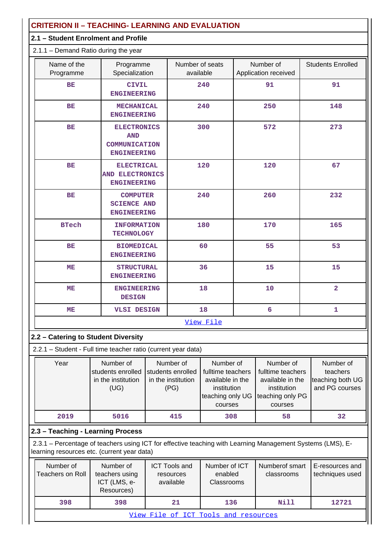| <b>CRITERION II - TEACHING- LEARNING AND EVALUATION</b> |                                                                                                                                                           |  |                                                              |                                                                                                  |                                                                                                  |                                   |                                                             |
|---------------------------------------------------------|-----------------------------------------------------------------------------------------------------------------------------------------------------------|--|--------------------------------------------------------------|--------------------------------------------------------------------------------------------------|--------------------------------------------------------------------------------------------------|-----------------------------------|-------------------------------------------------------------|
|                                                         | 2.1 - Student Enrolment and Profile                                                                                                                       |  |                                                              |                                                                                                  |                                                                                                  |                                   |                                                             |
|                                                         | $2.1.1 -$ Demand Ratio during the year                                                                                                                    |  |                                                              |                                                                                                  |                                                                                                  |                                   |                                                             |
| Name of the<br>Programme                                | Programme<br>Specialization                                                                                                                               |  | Number of seats<br>available                                 |                                                                                                  |                                                                                                  | Number of<br>Application received | <b>Students Enrolled</b>                                    |
| BE                                                      | <b>CIVIL</b><br><b>ENGINEERING</b>                                                                                                                        |  |                                                              | 240                                                                                              |                                                                                                  | 91                                | 91                                                          |
| BE                                                      | <b>MECHANICAL</b><br><b>ENGINEERING</b>                                                                                                                   |  |                                                              | 240                                                                                              |                                                                                                  | 250                               | 148                                                         |
| BE                                                      | <b>ELECTRONICS</b><br><b>AND</b><br>COMMUNICATION<br><b>ENGINEERING</b>                                                                                   |  |                                                              | 300                                                                                              |                                                                                                  | 572                               | 273                                                         |
| <b>BE</b>                                               | <b>ELECTRICAL</b><br><b>AND ELECTRONICS</b><br><b>ENGINEERING</b>                                                                                         |  |                                                              | 120                                                                                              |                                                                                                  | 120                               | 67                                                          |
| BE                                                      | <b>COMPUTER</b><br><b>SCIENCE AND</b><br><b>ENGINEERING</b>                                                                                               |  |                                                              | 240                                                                                              |                                                                                                  | 260                               | 232                                                         |
| <b>BTech</b>                                            | <b>INFORMATION</b><br><b>TECHNOLOGY</b>                                                                                                                   |  |                                                              | 180                                                                                              |                                                                                                  | 170                               | 165                                                         |
| BE                                                      | <b>BIOMEDICAL</b><br><b>ENGINEERING</b>                                                                                                                   |  | 60                                                           |                                                                                                  |                                                                                                  | 55                                | 53                                                          |
| MЕ                                                      | <b>STRUCTURAL</b><br><b>ENGINEERING</b>                                                                                                                   |  |                                                              | 36                                                                                               |                                                                                                  | 15                                | 15                                                          |
| ME                                                      | <b>ENGINEERING</b><br><b>DESIGN</b>                                                                                                                       |  |                                                              | 18                                                                                               |                                                                                                  | 10                                | $\overline{2}$                                              |
| MЕ                                                      | VLSI DESIGN                                                                                                                                               |  |                                                              | 18                                                                                               |                                                                                                  | 6                                 | ı                                                           |
|                                                         |                                                                                                                                                           |  |                                                              | View File                                                                                        |                                                                                                  |                                   |                                                             |
|                                                         | 2.2 - Catering to Student Diversity                                                                                                                       |  |                                                              |                                                                                                  |                                                                                                  |                                   |                                                             |
|                                                         | 2.2.1 - Student - Full time teacher ratio (current year data)                                                                                             |  |                                                              |                                                                                                  |                                                                                                  |                                   |                                                             |
| Year                                                    | Number of<br>students enrolled<br>in the institution<br>(UG)                                                                                              |  | Number of<br>students enrolled<br>in the institution<br>(PG) | Number of<br>fulltime teachers<br>available in the<br>institution<br>teaching only UG<br>courses | Number of<br>fulltime teachers<br>available in the<br>institution<br>teaching only PG<br>courses |                                   | Number of<br>teachers<br>teaching both UG<br>and PG courses |
| 2019                                                    | 5016                                                                                                                                                      |  | 415                                                          | 308                                                                                              |                                                                                                  | 58                                | 32                                                          |
|                                                         | 2.3 - Teaching - Learning Process                                                                                                                         |  |                                                              |                                                                                                  |                                                                                                  |                                   |                                                             |
|                                                         | 2.3.1 - Percentage of teachers using ICT for effective teaching with Learning Management Systems (LMS), E-<br>learning resources etc. (current year data) |  |                                                              |                                                                                                  |                                                                                                  |                                   |                                                             |
| Number of<br><b>Teachers on Roll</b>                    | Number of<br>teachers using<br>ICT (LMS, e-<br>Resources)                                                                                                 |  | <b>ICT Tools and</b><br>resources<br>available               | Number of ICT<br>enabled<br>Classrooms                                                           |                                                                                                  | Numberof smart<br>classrooms      | E-resources and<br>techniques used                          |
| 398                                                     | 398                                                                                                                                                       |  | 21                                                           | 136                                                                                              |                                                                                                  | Nill                              | 12721                                                       |

[View File of ICT Tools and resources](https://assessmentonline.naac.gov.in/public/Postacc/ict_tools/11763_ict_tools_1628861579.xlsx)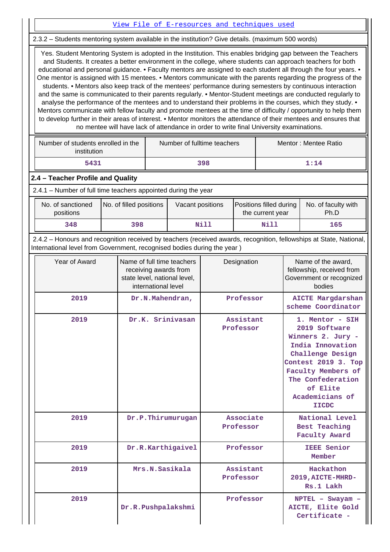#### [View File of E-resources and techniques used](https://assessmentonline.naac.gov.in/public/Postacc/e_resource/11763_e_resource_1628861597.xlsx)

2.3.2 – Students mentoring system available in the institution? Give details. (maximum 500 words)

 Yes. Student Mentoring System is adopted in the Institution. This enables bridging gap between the Teachers and Students. It creates a better environment in the college, where students can approach teachers for both educational and personal guidance. • Faculty mentors are assigned to each student all through the four years. • One mentor is assigned with 15 mentees. • Mentors communicate with the parents regarding the progress of the students. • Mentors also keep track of the mentees' performance during semesters by continuous interaction and the same is communicated to their parents regularly. • Mentor-Student meetings are conducted regularly to analyse the performance of the mentees and to understand their problems in the courses, which they study. • Mentors communicate with fellow faculty and promote mentees at the time of difficulty / opportunity to help them to develop further in their areas of interest. • Mentor monitors the attendance of their mentees and ensures that no mentee will have lack of attendance in order to write final University examinations.

| Number of students enrolled in the<br>institution | Number of fulltime teachers | Mentor: Mentee Ratio |  |  |
|---------------------------------------------------|-----------------------------|----------------------|--|--|
| 5431                                              | 398                         | 1:14                 |  |  |

### **2.4 – Teacher Profile and Quality**

2.4.1 – Number of full time teachers appointed during the year

| No. of sanctioned<br>positions | No. of filled positions | Vacant positions | Positions filled during<br>the current year | No. of faculty with<br>Ph.D |
|--------------------------------|-------------------------|------------------|---------------------------------------------|-----------------------------|
| 348                            | 398                     | Nill             | Nill                                        | 165                         |

 2.4.2 – Honours and recognition received by teachers (received awards, recognition, fellowships at State, National, International level from Government, recognised bodies during the year )

| Year of Award | Name of full time teachers<br>receiving awards from<br>state level, national level,<br>international level | Designation            | Name of the award,<br>fellowship, received from<br>Government or recognized<br>bodies                                                                                                                          |  |  |
|---------------|------------------------------------------------------------------------------------------------------------|------------------------|----------------------------------------------------------------------------------------------------------------------------------------------------------------------------------------------------------------|--|--|
| 2019          | Dr.N.Mahendran,                                                                                            | Professor              | <b>AICTE Margdarshan</b><br>scheme Coordinator                                                                                                                                                                 |  |  |
| 2019          | Dr.K. Srinivasan                                                                                           | Assistant<br>Professor | 1. Mentor - SIH<br>2019 Software<br>Winners 2. Jury -<br>India Innovation<br>Challenge Design<br>Contest 2019 3. Top<br>Faculty Members of<br>The Confederation<br>of Elite<br>Academicians of<br><b>IICDC</b> |  |  |
| 2019          | Dr.P.Thirumurugan                                                                                          | Associate<br>Professor | National Level<br><b>Best Teaching</b><br><b>Faculty Award</b>                                                                                                                                                 |  |  |
| 2019          | Dr.R.Karthigaivel                                                                                          | Professor              | <b>IEEE Senior</b><br>Member                                                                                                                                                                                   |  |  |
| 2019          | Mrs.N.Sasikala                                                                                             | Assistant<br>Professor | Hackathon<br>2019, AICTE-MHRD-<br>Rs.1 Lakh                                                                                                                                                                    |  |  |
| 2019          | Dr.R.Pushpalakshmi                                                                                         | Professor              | $NPTEL$ - Swayam -<br>AICTE, Elite Gold<br>Certificate -                                                                                                                                                       |  |  |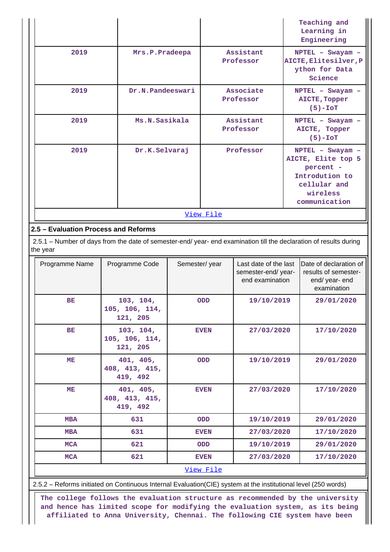|                                      |                                                                                                                    |               |                          |                                                                |                                                                                                                    | Teaching and<br>Learning in<br>Engineering                                      |  |  |  |
|--------------------------------------|--------------------------------------------------------------------------------------------------------------------|---------------|--------------------------|----------------------------------------------------------------|--------------------------------------------------------------------------------------------------------------------|---------------------------------------------------------------------------------|--|--|--|
| 2019                                 | Mrs.P.Pradeepa                                                                                                     |               |                          | Assistant<br>Professor                                         |                                                                                                                    | NPTEL - Swayam -<br>AICTE, Elitesilver, P<br>ython for Data<br>Science          |  |  |  |
| 2019                                 | Dr.N.Pandeeswari                                                                                                   |               |                          | Associate<br>Professor                                         |                                                                                                                    | NPTEL - Swayam -<br>AICTE, Topper<br>$(5)-IOT$                                  |  |  |  |
| 2019                                 | Ms.N.Sasikala                                                                                                      |               |                          | Assistant<br>Professor                                         |                                                                                                                    | NPTEL - Swayam -<br>AICTE, Topper<br>$(5)-IOT$                                  |  |  |  |
| 2019                                 |                                                                                                                    | Dr.K.Selvaraj | Professor                |                                                                | NPTEL - Swayam -<br>AICTE, Elite top 5<br>percent -<br>Introdution to<br>cellular and<br>wireless<br>communication |                                                                                 |  |  |  |
|                                      |                                                                                                                    |               | View File                |                                                                |                                                                                                                    |                                                                                 |  |  |  |
| 2.5 - Evaluation Process and Reforms |                                                                                                                    |               |                          |                                                                |                                                                                                                    |                                                                                 |  |  |  |
| the year                             | 2.5.1 - Number of days from the date of semester-end/ year- end examination till the declaration of results during |               |                          |                                                                |                                                                                                                    |                                                                                 |  |  |  |
| Programme Name                       | Programme Code                                                                                                     | Semester/year |                          | Last date of the last<br>semester-end/year-<br>end examination |                                                                                                                    | Date of declaration of<br>results of semester-<br>end/ year- end<br>examination |  |  |  |
| <b>BE</b>                            | 103, 104,<br>105, 106, 114,<br>121, 205                                                                            |               | 19/10/2019<br><b>ODD</b> |                                                                |                                                                                                                    | 29/01/2020                                                                      |  |  |  |
| BE                                   | 103, 104,<br>105, 106, 114,<br>121, 205                                                                            |               | <b>EVEN</b>              |                                                                | 27/03/2020<br>17/10/2020                                                                                           |                                                                                 |  |  |  |
| MЕ                                   | 401, 405,<br>408, 413, 415,<br>419, 492                                                                            |               | ODD                      | 19/10/2019                                                     |                                                                                                                    | 29/01/2020                                                                      |  |  |  |
| ME                                   | 401, 405,<br>408, 413, 415,<br>419, 492                                                                            |               | <b>EVEN</b>              | 27/03/2020                                                     |                                                                                                                    | 17/10/2020                                                                      |  |  |  |
| <b>MBA</b>                           | 631                                                                                                                |               | ODD                      | 19/10/2019                                                     |                                                                                                                    | 29/01/2020                                                                      |  |  |  |
| <b>MBA</b>                           | 631                                                                                                                |               | <b>EVEN</b>              | 27/03/2020                                                     |                                                                                                                    | 17/10/2020                                                                      |  |  |  |
| <b>MCA</b>                           | 621                                                                                                                |               | ODD                      | 19/10/2019                                                     |                                                                                                                    | 29/01/2020                                                                      |  |  |  |
| <b>MCA</b>                           | 621                                                                                                                |               | <b>EVEN</b>              | 27/03/2020                                                     |                                                                                                                    | 17/10/2020                                                                      |  |  |  |
|                                      |                                                                                                                    | View File     |                          |                                                                |                                                                                                                    |                                                                                 |  |  |  |

2.5.2 – Reforms initiated on Continuous Internal Evaluation(CIE) system at the institutional level (250 words)

 **The college follows the evaluation structure as recommended by the university and hence has limited scope for modifying the evaluation system, as its being affiliated to Anna University, Chennai. The following CIE system have been**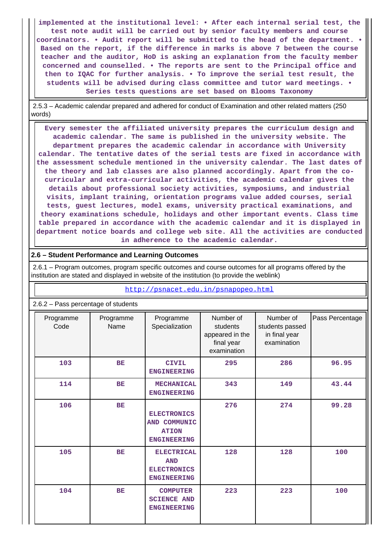**implemented at the institutional level: • After each internal serial test, the test note audit will be carried out by senior faculty members and course coordinators. • Audit report will be submitted to the head of the department. • Based on the report, if the difference in marks is above 7 between the course teacher and the auditor, HoD is asking an explanation from the faculty member concerned and counselled. • The reports are sent to the Principal office and then to IQAC for further analysis. • To improve the serial test result, the students will be advised during class committee and tutor ward meetings. • Series tests questions are set based on Blooms Taxonomy**

 2.5.3 – Academic calendar prepared and adhered for conduct of Examination and other related matters (250 words)

 **Every semester the affiliated university prepares the curriculum design and academic calendar. The same is published in the university website. The department prepares the academic calendar in accordance with University calendar. The tentative dates of the serial tests are fixed in accordance with the assessment schedule mentioned in the university calendar. The last dates of the theory and lab classes are also planned accordingly. Apart from the cocurricular and extra-curricular activities, the academic calendar gives the details about professional society activities, symposiums, and industrial visits, implant training, orientation programs value added courses, serial tests, guest lectures, model exams, university practical examinations, and theory examinations schedule, holidays and other important events. Class time table prepared in accordance with the academic calendar and it is displayed in department notice boards and college web site. All the activities are conducted in adherence to the academic calendar.**

#### **2.6 – Student Performance and Learning Outcomes**

 2.6.1 – Program outcomes, program specific outcomes and course outcomes for all programs offered by the institution are stated and displayed in website of the institution (to provide the weblink)

<http://psnacet.edu.in/psnapopeo.html>

| 2.6.2 - Pass percentage of students |                   |                                                                             |                                                                       |                                                              |                 |  |  |
|-------------------------------------|-------------------|-----------------------------------------------------------------------------|-----------------------------------------------------------------------|--------------------------------------------------------------|-----------------|--|--|
| Programme<br>Code                   | Programme<br>Name | Programme<br>Specialization                                                 | Number of<br>students<br>appeared in the<br>final year<br>examination | Number of<br>students passed<br>in final year<br>examination | Pass Percentage |  |  |
| 103                                 | <b>BE</b>         | <b>CIVIL</b><br><b>ENGINEERING</b>                                          | 295                                                                   | 286                                                          | 96.95           |  |  |
| 114                                 | <b>BE</b>         | <b>MECHANICAL</b><br><b>ENGINEERING</b>                                     | 343                                                                   | 149                                                          | 43.44           |  |  |
| 106                                 | <b>BE</b>         | <b>ELECTRONICS</b><br>AND COMMUNIC<br><b>ATION</b><br><b>ENGINEERING</b>    | 276                                                                   | 274                                                          | 99.28           |  |  |
| 105                                 | BE                | <b>ELECTRICAL</b><br><b>AND</b><br><b>ELECTRONICS</b><br><b>ENGINEERING</b> | 128                                                                   | 128                                                          | 100             |  |  |
| 104                                 | BE                | <b>COMPUTER</b><br><b>SCIENCE AND</b><br><b>ENGINEERING</b>                 | 223                                                                   | 223                                                          | 100             |  |  |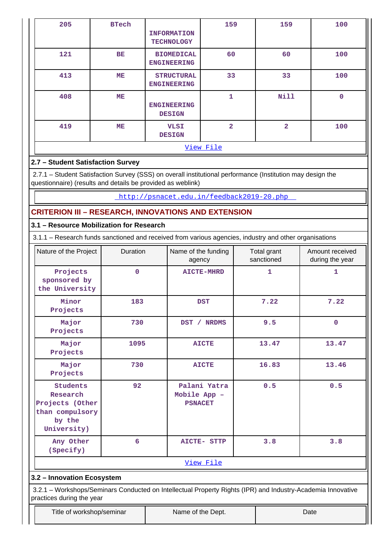| 205       | <b>BTech</b> | <b>INFORMATION</b><br><b>TECHNOLOGY</b> | 159            | 159            | 100         |  |  |
|-----------|--------------|-----------------------------------------|----------------|----------------|-------------|--|--|
| 121       | BE           | <b>BIOMEDICAL</b><br><b>ENGINEERING</b> | 60             | 60             | 100         |  |  |
| 413       | ME           | <b>STRUCTURAL</b><br><b>ENGINEERING</b> | 33             | 33             | 100         |  |  |
| 408       | ME           | <b>ENGINEERING</b><br><b>DESIGN</b>     | 1              | <b>Nill</b>    | $\mathbf 0$ |  |  |
| 419       | ME           | <b>VLSI</b><br><b>DESIGN</b>            | $\overline{a}$ | $\overline{2}$ | 100         |  |  |
| View File |              |                                         |                |                |             |  |  |

# **2.7 – Student Satisfaction Survey**

 2.7.1 – Student Satisfaction Survey (SSS) on overall institutional performance (Institution may design the questionnaire) (results and details be provided as weblink)

<http://psnacet.edu.in/feedback2019-20.php>

# **CRITERION III – RESEARCH, INNOVATIONS AND EXTENSION**

## **3.1 – Resource Mobilization for Research**

3.1.1 – Research funds sanctioned and received from various agencies, industry and other organisations

| Nature of the Project                                                                      | Duration<br>Name of the funding<br>agency            |                       | Total grant<br>sanctioned | Amount received<br>during the year |  |  |  |  |
|--------------------------------------------------------------------------------------------|------------------------------------------------------|-----------------------|---------------------------|------------------------------------|--|--|--|--|
| Projects<br>sponsored by<br>the University                                                 | $\mathbf 0$                                          | <b>AICTE-MHRD</b>     | $\mathbf{1}$              | $\mathbf{1}$                       |  |  |  |  |
| Minor<br>Projects                                                                          | 183                                                  | <b>DST</b>            | 7.22                      | 7.22                               |  |  |  |  |
| Major<br>Projects                                                                          | 730                                                  | DST /<br><b>NRDMS</b> | 9.5                       | $\mathbf 0$                        |  |  |  |  |
| Major<br>Projects                                                                          | 1095                                                 | <b>AICTE</b>          | 13.47                     | 13.47                              |  |  |  |  |
| Major<br>Projects                                                                          | 730                                                  | <b>AICTE</b>          | 16.83                     | 13.46                              |  |  |  |  |
| <b>Students</b><br>Research<br>Projects (Other<br>than compulsory<br>by the<br>University) | 92<br>Palani Yatra<br>Mobile App -<br><b>PSNACET</b> |                       | 0.5                       | 0.5                                |  |  |  |  |
| Any Other<br>(Specify)                                                                     | 6                                                    | <b>AICTE- STTP</b>    | 3.8                       | 3.8                                |  |  |  |  |
|                                                                                            | View File                                            |                       |                           |                                    |  |  |  |  |

### **3.2 – Innovation Ecosystem**

 3.2.1 – Workshops/Seminars Conducted on Intellectual Property Rights (IPR) and Industry-Academia Innovative practices during the year

Title of workshop/seminar Title of workshop/seminar Name of the Dept.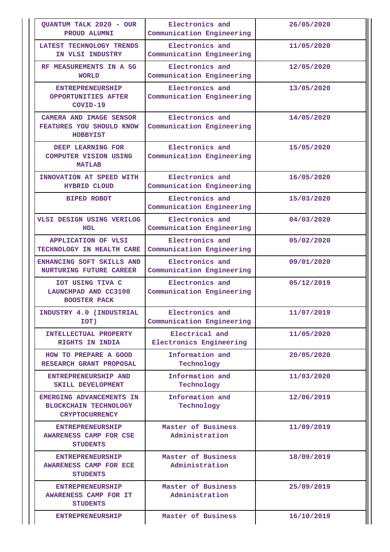| QUANTUM TALK 2020 - OUR<br>PROUD ALUMNI                                           | Electronics and<br>Communication Engineering | 26/05/2020 |
|-----------------------------------------------------------------------------------|----------------------------------------------|------------|
| LATEST TECHNOLOGY TRENDS<br>IN VLSI INDUSTRY                                      | Electronics and<br>Communication Engineering | 11/05/2020 |
| RF MEASUREMENTS IN A 5G<br><b>WORLD</b>                                           | Electronics and<br>Communication Engineering | 12/05/2020 |
| <b>ENTREPRENEURSHIP</b><br>OPPORTUNITIES AFTER<br>$COVID-19$                      | Electronics and<br>Communication Engineering | 13/05/2020 |
| <b>CAMERA AND IMAGE SENSOR</b><br>FEATURES YOU SHOULD KNOW<br><b>HOBBYIST</b>     | Electronics and<br>Communication Engineering | 14/05/2020 |
| DEEP LEARNING FOR<br><b>COMPUTER VISION USING</b><br><b>MATLAB</b>                | Electronics and<br>Communication Engineering | 15/05/2020 |
| INNOVATION AT SPEED WITH<br><b>HYBRID CLOUD</b>                                   | Electronics and<br>Communication Engineering | 16/05/2020 |
| <b>BIPED ROBOT</b>                                                                | Electronics and<br>Communication Engineering | 15/03/2020 |
| VLSI DESIGN USING VERILOG<br>HDL.                                                 | Electronics and<br>Communication Engineering | 04/03/2020 |
| <b>APPLICATION OF VLSI</b><br>TECHNOLOGY IN HEALTH CARE                           | Electronics and<br>Communication Engineering | 05/02/2020 |
| ENHANCING SOFT SKILLS AND<br><b>NURTURING FUTURE CAREER</b>                       | Electronics and<br>Communication Engineering | 09/01/2020 |
| IOT USING TIVA C<br>LAUNCHPAD AND CC3100<br><b>BOOSTER PACK</b>                   | Electronics and<br>Communication Engineering | 05/12/2019 |
| INDUSTRY 4.0 (INDUSTRIAL<br>IOT)                                                  | Electronics and<br>Communication Engineering | 11/07/2019 |
| INTELLECTUAL PROPERTY<br>RIGHTS IN INDIA                                          | Electrical and<br>Electronics Engineering    | 11/05/2020 |
| HOW TO PREPARE A GOOD<br>RESEARCH GRANT PROPOSAL                                  | Information and<br>Technology                | 20/05/2020 |
| ENTREPRENEURSHIP AND<br>SKILL DEVELOPMENT                                         | Information and<br>Technology                | 11/03/2020 |
| EMERGING ADVANCEMENTS IN<br><b>BLOCKCHAIN TECHNOLOGY</b><br><b>CRYPTOCURRENCY</b> | Information and<br>Technology                | 12/06/2019 |
| <b>ENTREPRENEURSHIP</b><br>AWARENESS CAMP FOR CSE<br><b>STUDENTS</b>              | Master of Business<br>Administration         | 11/09/2019 |
| <b>ENTREPRENEURSHIP</b><br>AWARENESS CAMP FOR ECE<br><b>STUDENTS</b>              | Master of Business<br>Administration         | 18/09/2019 |
| <b>ENTREPRENEURSHIP</b><br>AWARENESS CAMP FOR IT<br><b>STUDENTS</b>               | Master of Business<br>Administration         | 25/09/2019 |
| <b>ENTREPRENEURSHIP</b>                                                           | Master of Business                           | 16/10/2019 |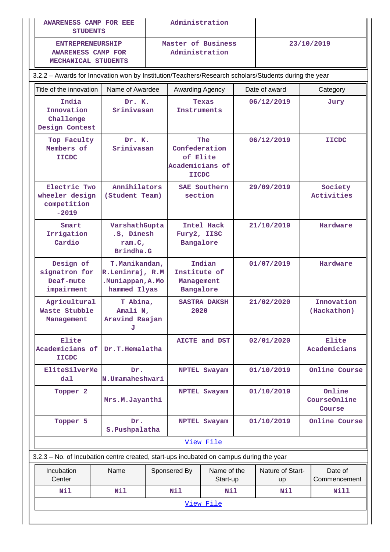|                                                                                         | Administration<br><b>AWARENESS CAMP FOR EEE</b><br><b>STUDENTS</b>                                   |                                        |                                                              |                             | 23/10/2019             |               |                       |                                  |  |
|-----------------------------------------------------------------------------------------|------------------------------------------------------------------------------------------------------|----------------------------------------|--------------------------------------------------------------|-----------------------------|------------------------|---------------|-----------------------|----------------------------------|--|
| <b>ENTREPRENEURSHIP</b><br><b>AWARENESS CAMP FOR</b><br>MECHANICAL STUDENTS             | Master of Business<br>Administration                                                                 |                                        |                                                              |                             |                        |               |                       |                                  |  |
|                                                                                         | 3.2.2 - Awards for Innovation won by Institution/Teachers/Research scholars/Students during the year |                                        |                                                              |                             |                        |               |                       |                                  |  |
| Title of the innovation                                                                 | Name of Awardee                                                                                      |                                        | Awarding Agency                                              |                             |                        | Date of award |                       | Category                         |  |
| India<br>Innovation<br>Challenge<br>Design Contest                                      | Dr. K.<br>Srinivasan                                                                                 |                                        | Instruments                                                  | Texas                       |                        | 06/12/2019    |                       | Jury                             |  |
| Top Faculty<br>Members of<br><b>IICDC</b>                                               | Dr. K.<br>Srinivasan                                                                                 |                                        | Confederation<br>of Elite<br>Academicians of<br><b>IICDC</b> | The                         | 06/12/2019             |               |                       | <b>IICDC</b>                     |  |
| Electric Two<br>wheeler design<br>competition<br>$-2019$                                | Annihilators<br>(Student Team)                                                                       |                                        | section                                                      | <b>SAE Southern</b>         |                        | 29/09/2019    | Society<br>Activities |                                  |  |
| Smart<br>Irrigation<br>Cardio                                                           | VarshathGupta<br>.S, Dinesh<br>ram.C,<br>Brindha.G                                                   |                                        | Fury2, IISC<br>Bangalore                                     | Intel Hack                  | 21/10/2019             |               | Hardware              |                                  |  |
| Design of<br>signatron for<br>Deaf-mute<br>impairment                                   | T.Manikandan,<br>R.Leninraj, R.M<br>.Muniappan, A.Mo<br>hammed Ilyas                                 |                                        | Institute of<br>Management<br>Bangalore                      | Indian                      | 01/07/2019             |               |                       | Hardware                         |  |
| Agricultural<br>Waste Stubble<br>Management                                             | J                                                                                                    | T Abina,<br>Amali N,<br>Aravind Raajan |                                                              | <b>SASTRA DAKSH</b><br>2020 | 21/02/2020             |               |                       | Innovation<br>(Hackathon)        |  |
| Elite<br>Academicians of<br><b>IICDC</b>                                                | Dr.T.Hemalatha                                                                                       |                                        |                                                              | AICTE and DST               | 02/01/2020             |               |                       | Elite<br>Academicians            |  |
| EliteSilverMe<br>$d$ al                                                                 | Dr.<br>N.Umamaheshwari                                                                               |                                        |                                                              | <b>NPTEL Swayam</b>         |                        | 01/10/2019    |                       | Online Course                    |  |
| Topper <sub>2</sub>                                                                     | Mrs.M.Jayanthi                                                                                       |                                        |                                                              | NPTEL Swayam                |                        | 01/10/2019    |                       | Online<br>CourseOnline<br>Course |  |
| Topper 5                                                                                | Dr.<br>S.Pushpalatha                                                                                 |                                        |                                                              | NPTEL Swayam                |                        | 01/10/2019    |                       | Online Course                    |  |
|                                                                                         |                                                                                                      |                                        |                                                              | View File                   |                        |               |                       |                                  |  |
| 3.2.3 - No. of Incubation centre created, start-ups incubated on campus during the year |                                                                                                      |                                        |                                                              |                             |                        |               |                       |                                  |  |
| Incubation<br>Center                                                                    | Name                                                                                                 |                                        | Sponsered By                                                 | Name of the<br>Start-up     | Nature of Start-<br>up |               |                       | Date of<br>Commencement          |  |
| Nil                                                                                     | Nil                                                                                                  |                                        | Nil                                                          | Nil                         | Nil<br>Nill            |               |                       |                                  |  |
| View File                                                                               |                                                                                                      |                                        |                                                              |                             |                        |               |                       |                                  |  |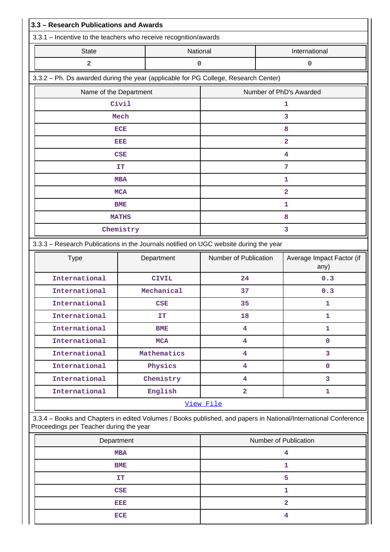| 3.3 - Research Publications and Awards                                                                                                                     |              |                         |                                   |  |  |  |  |  |
|------------------------------------------------------------------------------------------------------------------------------------------------------------|--------------|-------------------------|-----------------------------------|--|--|--|--|--|
| 3.3.1 - Incentive to the teachers who receive recognition/awards                                                                                           |              |                         |                                   |  |  |  |  |  |
| <b>State</b>                                                                                                                                               | National     |                         | International                     |  |  |  |  |  |
| $\overline{\mathbf{2}}$                                                                                                                                    | 0            |                         | 0                                 |  |  |  |  |  |
| 3.3.2 - Ph. Ds awarded during the year (applicable for PG College, Research Center)                                                                        |              |                         |                                   |  |  |  |  |  |
| Name of the Department                                                                                                                                     |              | Number of PhD's Awarded |                                   |  |  |  |  |  |
| Civil                                                                                                                                                      |              |                         | 1                                 |  |  |  |  |  |
| Mech                                                                                                                                                       |              |                         | 3                                 |  |  |  |  |  |
| <b>ECE</b>                                                                                                                                                 |              |                         | 8                                 |  |  |  |  |  |
| EEE                                                                                                                                                        |              |                         | $\overline{\mathbf{2}}$           |  |  |  |  |  |
| <b>CSE</b>                                                                                                                                                 |              |                         | 4                                 |  |  |  |  |  |
| IT                                                                                                                                                         |              |                         | 7                                 |  |  |  |  |  |
| <b>MBA</b>                                                                                                                                                 |              |                         | $\mathbf{1}$                      |  |  |  |  |  |
| <b>MCA</b>                                                                                                                                                 |              |                         | $\overline{a}$                    |  |  |  |  |  |
| <b>BME</b>                                                                                                                                                 |              |                         | 1                                 |  |  |  |  |  |
| <b>MATHS</b>                                                                                                                                               |              |                         | 8                                 |  |  |  |  |  |
| Chemistry                                                                                                                                                  |              |                         | 3                                 |  |  |  |  |  |
| 3.3.3 - Research Publications in the Journals notified on UGC website during the year                                                                      |              |                         |                                   |  |  |  |  |  |
| <b>Type</b>                                                                                                                                                | Department   | Number of Publication   | Average Impact Factor (if<br>any) |  |  |  |  |  |
| International                                                                                                                                              | <b>CIVIL</b> | 24                      | 0.3                               |  |  |  |  |  |
| International                                                                                                                                              | Mechanical   | 37                      | 0.3                               |  |  |  |  |  |
| International                                                                                                                                              | <b>CSE</b>   | 35                      | 1                                 |  |  |  |  |  |
| International                                                                                                                                              | IT           | 18                      | 1                                 |  |  |  |  |  |
| International                                                                                                                                              | <b>BME</b>   | 4                       | $\mathbf{1}$                      |  |  |  |  |  |
| International                                                                                                                                              | <b>MCA</b>   | $\overline{\mathbf{4}}$ | $\mathbf 0$                       |  |  |  |  |  |
| International                                                                                                                                              | Mathematics  | 4                       | 3                                 |  |  |  |  |  |
| International                                                                                                                                              | Physics      | 4                       | $\mathbf 0$                       |  |  |  |  |  |
| International                                                                                                                                              | Chemistry    | 4                       | 3                                 |  |  |  |  |  |
| International                                                                                                                                              | English      | $\overline{\mathbf{2}}$ | 1                                 |  |  |  |  |  |
|                                                                                                                                                            |              | View File               |                                   |  |  |  |  |  |
| 3.3.4 - Books and Chapters in edited Volumes / Books published, and papers in National/International Conference<br>Proceedings per Teacher during the year |              |                         |                                   |  |  |  |  |  |
| Department                                                                                                                                                 |              |                         | Number of Publication             |  |  |  |  |  |
| <b>MBA</b>                                                                                                                                                 |              |                         | 4                                 |  |  |  |  |  |
| BME                                                                                                                                                        |              |                         | 1                                 |  |  |  |  |  |
| <b>IT</b>                                                                                                                                                  |              |                         | 5                                 |  |  |  |  |  |
| <b>CSE</b>                                                                                                                                                 |              |                         | 1                                 |  |  |  |  |  |
| EEE                                                                                                                                                        |              |                         | $\overline{a}$                    |  |  |  |  |  |
| <b>ECE</b>                                                                                                                                                 |              |                         | 4                                 |  |  |  |  |  |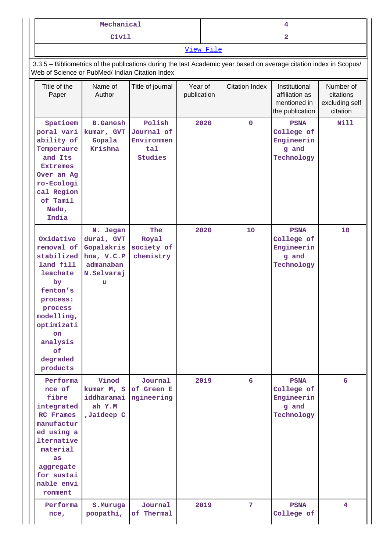| Mechanical |           |
|------------|-----------|
| Civil      |           |
|            | View File |

 3.3.5 – Bibliometrics of the publications during the last Academic year based on average citation index in Scopus/ Web of Science or PubMed/ Indian Citation Index

| Title of the<br>Paper                                                                                                                                                               | Name of<br>Author                                                                  | Title of journal                                            | Year of<br>publication | <b>Citation Index</b> | Institutional<br>affiliation as<br>mentioned in<br>the publication | Number of<br>citations<br>excluding self<br>citation |
|-------------------------------------------------------------------------------------------------------------------------------------------------------------------------------------|------------------------------------------------------------------------------------|-------------------------------------------------------------|------------------------|-----------------------|--------------------------------------------------------------------|------------------------------------------------------|
| Spatioem<br>poral vari<br>ability of<br>Temperaure<br>and Its<br><b>Extremes</b><br>Over an Ag<br>ro-Ecologi<br>cal Region<br>of Tamil<br>Nadu,<br>India                            | <b>B.Ganesh</b><br>kumar, GVT<br>Gopala<br>Krishna                                 | Polish<br>Journal of<br>Environmen<br>tal<br><b>Studies</b> | 2020                   | $\mathbf 0$           | <b>PSNA</b><br>College of<br>Engineerin<br>g and<br>Technology     | <b>Nill</b>                                          |
| Oxidative<br>removal of<br>stabilized<br>land fill<br>leachate<br>by<br>fenton's<br>process:<br>process<br>modelling,<br>optimizati<br>on<br>analysis<br>of<br>degraded<br>products | N. Jegan<br>durai, GVT<br>Gopalakris<br>hna, V.C.P<br>admanaban<br>N.Selvaraj<br>u | The<br>Royal<br>society of<br>chemistry                     | 2020                   | 10                    | <b>PSNA</b><br>College of<br>Engineerin<br>g and<br>Technology     | 10                                                   |
| Performa<br>nce of<br>fibre<br>integrated<br>RC Frames<br>manufactur<br>ed using a<br><b>lternative</b><br>material<br>as<br>aggregate<br>for sustai<br>nable envi<br>ronment       | Vinod<br>kumar M, S<br>iddharamai<br>ah Y.M<br>,Jaideep C                          | Journal<br>of Green E<br>ngineering                         | 2019                   | 6                     | <b>PSNA</b><br>College of<br>Engineerin<br>g and<br>Technology     | 6                                                    |
| Performa<br>nce,                                                                                                                                                                    | S. Muruga<br>poopathi,                                                             | Journal<br>of Thermal                                       | 2019                   | $7\phantom{.}$        | <b>PSNA</b><br>College of                                          | 4                                                    |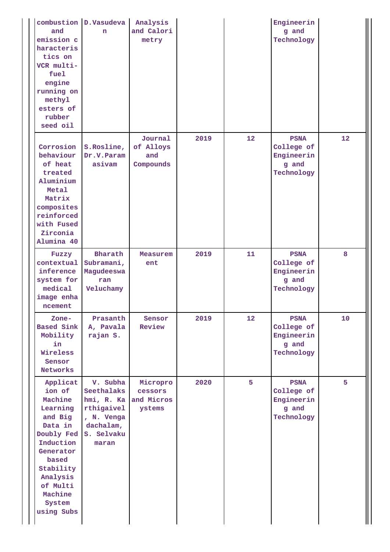| and<br>emission c<br>haracteris<br>tics on<br>VCR multi-<br>fuel<br>engine<br>running on<br>methyl<br>esters of<br>rubber<br>seed oil                                                    | combustion D.Vasudeva<br>n                                                                           | Analysis<br>and Calori<br>metry             |      |    | Engineerin<br>g and<br>Technology                              |    |
|------------------------------------------------------------------------------------------------------------------------------------------------------------------------------------------|------------------------------------------------------------------------------------------------------|---------------------------------------------|------|----|----------------------------------------------------------------|----|
| Corrosion<br>behaviour<br>of heat<br>treated<br>Aluminium<br>Metal<br>Matrix<br>composites<br>reinforced<br>with Fused<br>Zirconia<br>Alumina 40                                         | S.Rosline,<br>Dr.V.Param<br>asivam                                                                   | Journal<br>of Alloys<br>and<br>Compounds    | 2019 | 12 | <b>PSNA</b><br>College of<br>Engineerin<br>g and<br>Technology | 12 |
| Fuzzy<br>contextual<br>inference<br>system for<br>medical<br>image enha<br>ncement                                                                                                       | Bharath<br>Subramani,<br>Magudeeswa<br>ran<br>Veluchamy                                              | Measurem<br>ent                             | 2019 | 11 | <b>PSNA</b><br>College of<br>Engineerin<br>g and<br>Technology | 8  |
| Zone-<br><b>Based Sink</b><br>Mobility<br>in<br>Wireless<br>Sensor<br><b>Networks</b>                                                                                                    | Prasanth<br>A, Pavala<br>rajan S.                                                                    | Sensor<br>Review                            | 2019 | 12 | <b>PSNA</b><br>College of<br>Engineerin<br>g and<br>Technology | 10 |
| Applicat<br>ion of<br>Machine<br>Learning<br>and Big<br>Data in<br>Doubly Fed<br>Induction<br>Generator<br>based<br>Stability<br>Analysis<br>of Multi<br>Machine<br>System<br>using Subs | V. Subha<br>Seethalaks<br>hmi, R. Ka<br>rthigaivel<br>, N. Venga<br>dachalam,<br>S. Selvaku<br>maran | Micropro<br>cessors<br>and Micros<br>ystems | 2020 | 5  | <b>PSNA</b><br>College of<br>Engineerin<br>g and<br>Technology | 5  |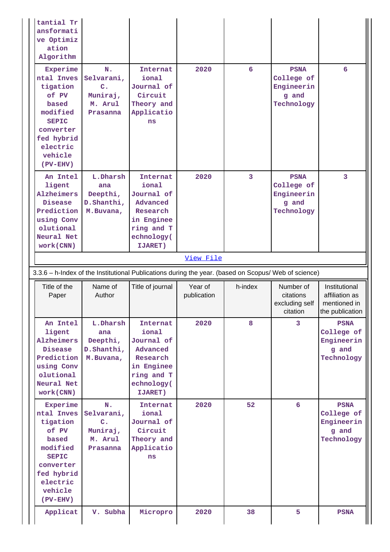| ansformati<br>ve Optimiz<br>ation<br>Algorithm                                                                                                   |                                                                                  |                                                                                                                            |                        |                |                                                                |                                                                    |  |  |
|--------------------------------------------------------------------------------------------------------------------------------------------------|----------------------------------------------------------------------------------|----------------------------------------------------------------------------------------------------------------------------|------------------------|----------------|----------------------------------------------------------------|--------------------------------------------------------------------|--|--|
| Experime<br>ntal Inves<br>tigation<br>of PV<br>based<br>modified<br><b>SEPIC</b><br>converter<br>fed hybrid<br>electric<br>vehicle<br>$(PV-EHV)$ | N.<br>Selvarani,<br>$\mathbf{C}$ .<br>Muniraj,<br>M. Arul<br>Prasanna            | Internat<br>ional<br>Journal of<br>Circuit<br>Theory and<br>Applicatio<br>ns                                               | 2020                   | 6              | <b>PSNA</b><br>College of<br>Engineerin<br>g and<br>Technology | 6                                                                  |  |  |
| An Intel<br>ligent<br>Alzheimers<br>Disease<br>Prediction<br>using Conv<br>olutional<br>Neural Net<br>work(CNN)                                  | L.Dharsh<br>ana<br>Deepthi,<br>D.Shanthi,<br>M.Buvana,                           | <b>Internat</b><br>ional<br>Journal of<br>Advanced<br>Research<br>in Enginee<br>ring and T<br>echnology(<br><b>IJARET)</b> | 2020                   | $\overline{3}$ | <b>PSNA</b><br>College of<br>Engineerin<br>g and<br>Technology | 3                                                                  |  |  |
|                                                                                                                                                  |                                                                                  |                                                                                                                            | View File              |                |                                                                |                                                                    |  |  |
|                                                                                                                                                  |                                                                                  | 3.3.6 - h-Index of the Institutional Publications during the year. (based on Scopus/ Web of science)                       |                        |                |                                                                |                                                                    |  |  |
|                                                                                                                                                  |                                                                                  |                                                                                                                            |                        |                |                                                                |                                                                    |  |  |
| Title of the<br>Paper                                                                                                                            | Name of<br>Author                                                                | Title of journal                                                                                                           | Year of<br>publication | h-index        | Number of<br>citations<br>excluding self<br>citation           | Institutional<br>affiliation as<br>mentioned in<br>the publication |  |  |
| An Intel<br>ligent<br>Alzheimers<br><b>Disease</b><br>Prediction<br>using Conv<br>olutional<br>Neural Net<br>work (CNN)                          | L.Dharsh<br>ana<br>Deepthi,<br>D.Shanthi,<br>M.Buvana,                           | Internat<br>ional<br>Journal of<br>Advanced<br>Research<br>in Enginee<br>ring and T<br>echnology(<br>IJARET)               | 2020                   | 8              | 3                                                              | <b>PSNA</b><br>College of<br>Engineerin<br>g and<br>Technology     |  |  |
| Experime<br>ntal Inves<br>tigation<br>of PV<br>based<br>modified<br><b>SEPIC</b><br>converter<br>fed hybrid<br>electric<br>vehicle<br>$(PV-EHV)$ | $N_{\bullet}$<br>Selvarani,<br>$\mathbf{C}$ .<br>Muniraj,<br>M. Arul<br>Prasanna | Internat<br>ional<br>Journal of<br>Circuit<br>Theory and<br>Applicatio<br>ns                                               | 2020                   | 52             | 6                                                              | <b>PSNA</b><br>College of<br>Engineerin<br>g and<br>Technology     |  |  |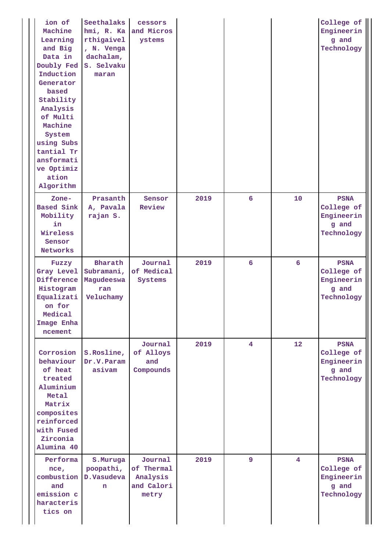| ion of<br>Machine<br>Learning<br>and Big<br>Data in<br>Doubly Fed<br>Induction<br>Generator<br>based<br>Stability<br>Analysis<br>of Multi<br>Machine<br>System<br>using Subs<br>tantial Tr<br>ansformati<br>ve Optimiz<br>ation<br>Algorithm | Seethalaks<br>hmi, R. Ka<br>rthigaivel<br>, N. Venga<br>dachalam,<br>S. Selvaku<br>maran | cessors<br>and Micros<br>ystems                          |      |                |                 | College of<br>Engineerin<br>g and<br>Technology                |
|----------------------------------------------------------------------------------------------------------------------------------------------------------------------------------------------------------------------------------------------|------------------------------------------------------------------------------------------|----------------------------------------------------------|------|----------------|-----------------|----------------------------------------------------------------|
| Zone-<br><b>Based Sink</b><br>Mobility<br>in<br>Wireless<br>Sensor<br>Networks                                                                                                                                                               | Prasanth<br>A, Pavala<br>rajan S.                                                        | Sensor<br>Review                                         | 2019 | 6              | 10              | <b>PSNA</b><br>College of<br>Engineerin<br>g and<br>Technology |
| Fuzzy<br>Gray Level<br>Difference<br>Histogram<br>Equalizati<br>on for<br>Medical<br>Image Enha<br>ncement                                                                                                                                   | Bharath<br>Subramani,<br>Magudeeswa<br>ran<br>Veluchamy                                  | Journal<br>of Medical<br>Systems                         | 2019 | 6              | 6               | <b>PSNA</b><br>College of<br>Engineerin<br>g and<br>Technology |
| Corrosion<br>behaviour<br>of heat<br>treated<br>Aluminium<br>Metal<br>Matrix<br>composites<br>reinforced<br>with Fused<br>Zirconia<br>Alumina 40                                                                                             | S.Rosline,<br>Dr.V.Param<br>asivam                                                       | Journal<br>of Alloys<br>and<br>Compounds                 | 2019 | $\overline{4}$ | 12 <sup>1</sup> | <b>PSNA</b><br>College of<br>Engineerin<br>g and<br>Technology |
| Performa<br>nce,<br>and<br>emission c<br>haracteris<br>tics on                                                                                                                                                                               | S.Muruga<br>poopathi,<br>combustion D.Vasudeva<br>n.                                     | Journal<br>of Thermal<br>Analysis<br>and Calori<br>metry | 2019 | 9              | $\overline{4}$  | <b>PSNA</b><br>College of<br>Engineerin<br>g and<br>Technology |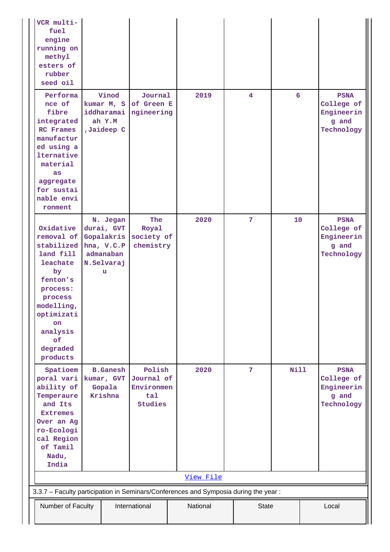| VCR multi-<br>fuel<br>engine<br>running on<br>methyl<br>esters of<br>rubber<br>seed oil                                                                                                    |  |                                                                                    |                                                      |  |           |                |             |  |                                                                |
|--------------------------------------------------------------------------------------------------------------------------------------------------------------------------------------------|--|------------------------------------------------------------------------------------|------------------------------------------------------|--|-----------|----------------|-------------|--|----------------------------------------------------------------|
| Performa<br>nce of<br>fibre<br>integrated<br>RC Frames<br>manufactur<br>ed using a<br><b>lternative</b><br>material<br>as<br>aggregate<br>for sustai<br>nable envi<br>ronment              |  | Vinod<br>kumar M, S<br>iddharamai<br>ah Y.M<br>,Jaideep C                          | Journal<br>of Green E<br>ngineering                  |  | 2019      | $\overline{4}$ | 6           |  | <b>PSNA</b><br>College of<br>Engineerin<br>g and<br>Technology |
| Oxidative<br>removal of<br>stabilized<br>land fill<br>leachate<br>by<br>fenton's<br>process:<br>process<br>modelling,<br>optimizati<br><b>on</b><br>analysis<br>of<br>degraded<br>products |  | N. Jegan<br>durai, GVT<br>Gopalakris<br>hna, V.C.P<br>admanaban<br>N.Selvaraj<br>u | The<br>Royal<br>society of<br>chemistry              |  | 2020      | 7              | 10          |  | <b>PSNA</b><br>College of<br>Engineerin<br>g and<br>Technology |
| Spatioem<br>poral vari<br>ability of<br>Temperaure<br>and Its<br><b>Extremes</b><br>Over an Ag<br>ro-Ecologi<br>cal Region<br>of Tamil<br>Nadu,<br>India                                   |  | <b>B.Ganesh</b><br>kumar, GVT<br>Gopala<br>Krishna                                 | Polish<br>Journal of<br>Environmen<br>tal<br>Studies |  | 2020      | 7              | <b>Nill</b> |  | <b>PSNA</b><br>College of<br>Engineerin<br>g and<br>Technology |
|                                                                                                                                                                                            |  |                                                                                    |                                                      |  | View File |                |             |  |                                                                |
|                                                                                                                                                                                            |  |                                                                                    |                                                      |  |           |                |             |  |                                                                |
| 3.3.7 - Faculty participation in Seminars/Conferences and Symposia during the year:<br>National<br>International<br><b>State</b><br>Number of Faculty<br>Local                             |  |                                                                                    |                                                      |  |           |                |             |  |                                                                |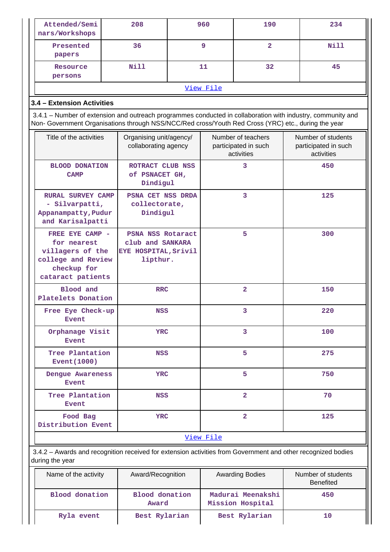| Attended/Semi<br>nars/Workshops                                                                                                 | 208                                                                       |            | 960       | 190                                                      | 234                                                                                                         |  |
|---------------------------------------------------------------------------------------------------------------------------------|---------------------------------------------------------------------------|------------|-----------|----------------------------------------------------------|-------------------------------------------------------------------------------------------------------------|--|
| Presented<br>papers                                                                                                             | 36                                                                        |            | 9         | $\overline{2}$                                           | <b>Nill</b>                                                                                                 |  |
| Resource<br>persons                                                                                                             | <b>Nill</b>                                                               |            | 11        | 32                                                       | 45                                                                                                          |  |
|                                                                                                                                 |                                                                           |            | View File |                                                          |                                                                                                             |  |
| 3.4 - Extension Activities                                                                                                      |                                                                           |            |           |                                                          |                                                                                                             |  |
| Non- Government Organisations through NSS/NCC/Red cross/Youth Red Cross (YRC) etc., during the year                             |                                                                           |            |           |                                                          | 3.4.1 – Number of extension and outreach programmes conducted in collaboration with industry, community and |  |
| Title of the activities                                                                                                         | Organising unit/agency/<br>collaborating agency                           |            |           | Number of teachers<br>participated in such<br>activities | Number of students<br>participated in such<br>activities                                                    |  |
| <b>BLOOD DONATION</b><br><b>CAMP</b>                                                                                            | ROTRACT CLUB NSS<br>of PSNACET GH,<br>Dindigul                            |            |           | 3                                                        | 450                                                                                                         |  |
| <b>RURAL SURVEY CAMP</b><br>- Silvarpatti,<br>Appanampatty, Pudur<br>and Karisalpatti                                           | PSNA CET NSS DRDA<br>collectorate,<br>Dindigul                            |            |           | 3                                                        | 125                                                                                                         |  |
| FREE EYE CAMP -<br>for nearest<br>villagers of the<br>college and Review<br>checkup for<br>cataract patients                    | PSNA NSS Rotaract<br>club and SANKARA<br>EYE HOSPITAL, Srivil<br>lipthur. |            |           | 5                                                        | 300                                                                                                         |  |
| Blood and<br>Platelets Donation                                                                                                 |                                                                           | <b>RRC</b> |           | $\overline{2}$                                           | 150                                                                                                         |  |
| Free Eye Check-up<br><b>Event</b>                                                                                               | <b>NSS</b>                                                                |            |           | 3                                                        | 220                                                                                                         |  |
| Orphanage Visit<br><b>Event</b>                                                                                                 | YRC                                                                       |            | 3         |                                                          | 100                                                                                                         |  |
| Tree Plantation<br>Event (1000)                                                                                                 | <b>NSS</b>                                                                |            | 5         |                                                          | 275                                                                                                         |  |
| Dengue Awareness<br><b>Event</b>                                                                                                | YRC                                                                       |            |           | 5                                                        | 750                                                                                                         |  |
| Tree Plantation<br><b>Event</b>                                                                                                 | <b>NSS</b>                                                                |            |           | $\overline{a}$                                           | 70                                                                                                          |  |
| Food Bag<br>Distribution Event                                                                                                  | <b>YRC</b>                                                                |            |           | $\overline{2}$                                           | 125                                                                                                         |  |
|                                                                                                                                 |                                                                           |            | View File |                                                          |                                                                                                             |  |
| 3.4.2 - Awards and recognition received for extension activities from Government and other recognized bodies<br>during the year |                                                                           |            |           |                                                          |                                                                                                             |  |
| Name of the activity                                                                                                            | Award/Recognition                                                         |            |           | <b>Awarding Bodies</b>                                   | Number of students<br><b>Benefited</b>                                                                      |  |
| <b>Blood</b> donation                                                                                                           | <b>Blood</b> donation<br>Award                                            |            |           | Madurai Meenakshi<br>Mission Hospital                    | 450                                                                                                         |  |
| Ryla event                                                                                                                      | Best Rylarian                                                             |            |           | Best Rylarian                                            | 10                                                                                                          |  |

Ш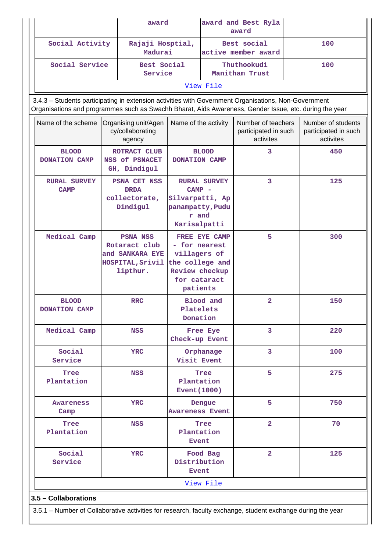|                                      | award<br>Social Activity<br>Rajaji Hosptial,<br>Madurai                                                                                                                                                        |                                                                                                                        | award and Best Ryla<br>award |                                                         |     |                                                         |  |
|--------------------------------------|----------------------------------------------------------------------------------------------------------------------------------------------------------------------------------------------------------------|------------------------------------------------------------------------------------------------------------------------|------------------------------|---------------------------------------------------------|-----|---------------------------------------------------------|--|
|                                      |                                                                                                                                                                                                                |                                                                                                                        |                              | Best social<br>active member award                      | 100 |                                                         |  |
| Social Service                       | Best Social<br>Service                                                                                                                                                                                         |                                                                                                                        |                              | Thuthookudi<br>Manitham Trust                           |     | 100                                                     |  |
|                                      |                                                                                                                                                                                                                |                                                                                                                        | View File                    |                                                         |     |                                                         |  |
|                                      | 3.4.3 - Students participating in extension activities with Government Organisations, Non-Government<br>Organisations and programmes such as Swachh Bharat, Aids Awareness, Gender Issue, etc. during the year |                                                                                                                        |                              |                                                         |     |                                                         |  |
| Name of the scheme                   | Organising unit/Agen<br>cy/collaborating<br>agency                                                                                                                                                             | Name of the activity                                                                                                   |                              | Number of teachers<br>participated in such<br>activites |     | Number of students<br>participated in such<br>activites |  |
| <b>BLOOD</b><br><b>DONATION CAMP</b> | ROTRACT CLUB<br>NSS of PSNACET<br>GH, Dindigul                                                                                                                                                                 | <b>DONATION CAMP</b>                                                                                                   | <b>BLOOD</b>                 | 3                                                       |     | 450                                                     |  |
| <b>RURAL SURVEY</b><br><b>CAMP</b>   | <b>PSNA CET NSS</b><br><b>DRDA</b><br>collectorate,<br>Dindigul                                                                                                                                                | $CAMP$ -<br>Silvarpatti, Ap<br>panampatty, Pudu<br>r and<br>Karisalpatti                                               | <b>RURAL SURVEY</b>          | 3                                                       |     | 125                                                     |  |
| Medical Camp                         | <b>PSNA NSS</b><br>Rotaract club<br>and SANKARA EYE<br>HOSPITAL, Srivil<br>lipthur.                                                                                                                            | <b>FREE EYE CAMP</b><br>- for nearest<br>villagers of<br>the college and<br>Review checkup<br>for cataract<br>patients |                              | 5                                                       |     | 300                                                     |  |
| <b>BLOOD</b><br>DONATION CAMP        | <b>RRC</b>                                                                                                                                                                                                     | Platelets<br>Donation                                                                                                  | Blood and<br>$\overline{a}$  |                                                         |     | 150                                                     |  |
| Medical Camp                         | <b>NSS</b>                                                                                                                                                                                                     | Check-up Event                                                                                                         | Free Eye                     | 3                                                       |     | 220                                                     |  |
| Social<br>Service                    | <b>YRC</b>                                                                                                                                                                                                     | Visit Event                                                                                                            | Orphanage                    | 3                                                       |     | 100                                                     |  |
| Tree<br>Plantation                   | <b>NSS</b>                                                                                                                                                                                                     | Plantation<br>Event $(1000)$                                                                                           | Tree                         | 5                                                       |     | 275                                                     |  |
| <b>Awareness</b><br>Camp             | <b>YRC</b>                                                                                                                                                                                                     | <b>Awareness Event</b>                                                                                                 | Dengue                       | 5                                                       |     | 750                                                     |  |
| Tree<br>Plantation                   | <b>NSS</b>                                                                                                                                                                                                     | <b>Tree</b><br>Plantation<br><b>Event</b>                                                                              |                              | $\overline{2}$                                          |     | 70                                                      |  |
| Social<br>Service                    | <b>YRC</b>                                                                                                                                                                                                     | Distribution<br><b>Event</b>                                                                                           | Food Bag                     | $\overline{2}$                                          |     | 125                                                     |  |
|                                      |                                                                                                                                                                                                                |                                                                                                                        | View File                    |                                                         |     |                                                         |  |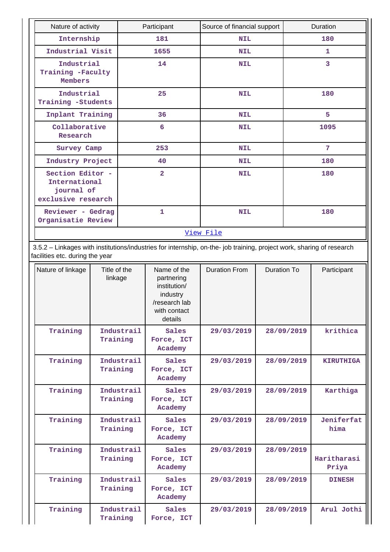| Nature of activity                                                    | Participant    | Source of financial support | Duration |
|-----------------------------------------------------------------------|----------------|-----------------------------|----------|
| Internship                                                            | 181            | <b>NIL</b>                  | 180      |
| Industrial Visit                                                      | 1655           | <b>NIL</b>                  | 1        |
| Industrial<br>Training -Faculty<br>Members                            | 14             | <b>NIL</b>                  | 3        |
| Industrial<br>Training -Students                                      | 25             | <b>NIL</b>                  | 180      |
| Inplant Training                                                      | 36             | <b>NIL</b>                  | 5        |
| Collaborative<br>Research                                             | 6              | <b>NIL</b>                  | 1095     |
| Survey Camp                                                           | 253            | <b>NIL</b>                  | 7        |
| Industry Project                                                      | 40             | <b>NIL</b>                  | 180      |
| Section Editor -<br>International<br>journal of<br>exclusive research | $\overline{2}$ | <b>NIL</b>                  | 180      |
| Reviewer - Gedrag<br>Organisatie Review                               | $\mathbf{1}$   | <b>NIL</b>                  | 180      |
|                                                                       |                | View File                   |          |

 3.5.2 – Linkages with institutions/industries for internship, on-the- job training, project work, sharing of research facilities etc. during the year

| Nature of linkage | Title of the<br>linkage | Name of the<br>partnering<br>institution/<br>industry<br>/research lab<br>with contact<br>details | <b>Duration From</b> | Duration To | Participant          |
|-------------------|-------------------------|---------------------------------------------------------------------------------------------------|----------------------|-------------|----------------------|
| Training          | Industrail<br>Training  | Sales<br>Force, ICT<br>Academy                                                                    | 29/03/2019           | 28/09/2019  | krithica             |
| Training          | Industrail<br>Training  | Sales<br>Force, ICT<br>Academy                                                                    | 29/03/2019           | 28/09/2019  | <b>KIRUTHIGA</b>     |
| Training          | Industrail<br>Training  | Sales<br>Force, ICT<br>Academy                                                                    | 29/03/2019           | 28/09/2019  | Karthiga             |
| Training          | Industrail<br>Training  | Sales<br>Force, ICT<br>Academy                                                                    | 29/03/2019           | 28/09/2019  | Jeniferfat<br>hima   |
| Training          | Industrail<br>Training  | Sales<br>Force, ICT<br>Academy                                                                    | 29/03/2019           | 28/09/2019  | Haritharasi<br>Priya |
| Training          | Industrail<br>Training  | Sales<br>Force, ICT<br>Academy                                                                    | 29/03/2019           | 28/09/2019  | <b>DINESH</b>        |
| Training          | Industrail<br>Training  | Sales<br>Force, ICT                                                                               | 29/03/2019           | 28/09/2019  | Arul Jothi           |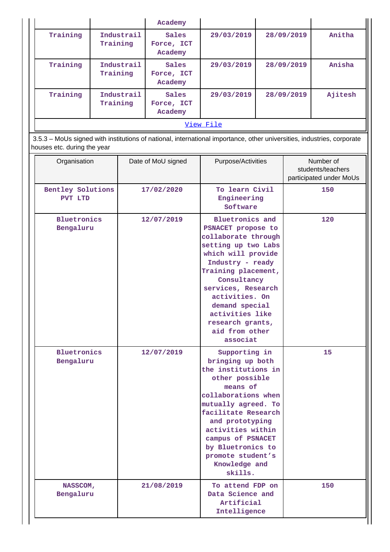|           |                        | Academy                        |            |            |         |  |  |  |
|-----------|------------------------|--------------------------------|------------|------------|---------|--|--|--|
| Training  | Industrail<br>Training | Sales<br>Force, ICT<br>Academy | 29/03/2019 | 28/09/2019 | Anitha  |  |  |  |
| Training  | Industrail<br>Training | Sales<br>Force, ICT<br>Academy | 29/03/2019 | 28/09/2019 | Anisha  |  |  |  |
| Training  | Industrail<br>Training | Sales<br>Force, ICT<br>Academy | 29/03/2019 | 28/09/2019 | Ajitesh |  |  |  |
| View File |                        |                                |            |            |         |  |  |  |
|           |                        |                                |            |            |         |  |  |  |

 3.5.3 – MoUs signed with institutions of national, international importance, other universities, industries, corporate houses etc. during the year

| Organisation                    | Date of MoU signed | Purpose/Activities                                                                                                                                                                                                                                                                                        | Number of<br>students/teachers<br>participated under MoUs |
|---------------------------------|--------------------|-----------------------------------------------------------------------------------------------------------------------------------------------------------------------------------------------------------------------------------------------------------------------------------------------------------|-----------------------------------------------------------|
| Bentley Solutions<br>PVT LTD    | 17/02/2020         | To learn Civil<br>Engineering<br>Software                                                                                                                                                                                                                                                                 | 150                                                       |
| <b>Bluetronics</b><br>Bengaluru | 12/07/2019         | <b>Bluetronics and</b><br>PSNACET propose to<br>collaborate through<br>setting up two Labs<br>which will provide<br>Industry - ready<br>Training placement,<br>Consultancy<br>services, Research<br>activities. On<br>demand special<br>activities like<br>research grants,<br>aid from other<br>associat | 120                                                       |
| <b>Bluetronics</b><br>Bengaluru | 12/07/2019         | Supporting in<br>bringing up both<br>the institutions in<br>other possible<br>means of<br>collaborations when<br>mutually agreed. To<br>facilitate Research<br>and prototyping<br>activities within<br>campus of PSNACET<br>by Bluetronics to<br>promote student's<br>Knowledge and<br>skills.            | 15                                                        |
| NASSCOM,<br>Bengaluru           | 21/08/2019         | To attend FDP on<br>Data Science and<br>Artificial<br>Intelligence                                                                                                                                                                                                                                        | 150                                                       |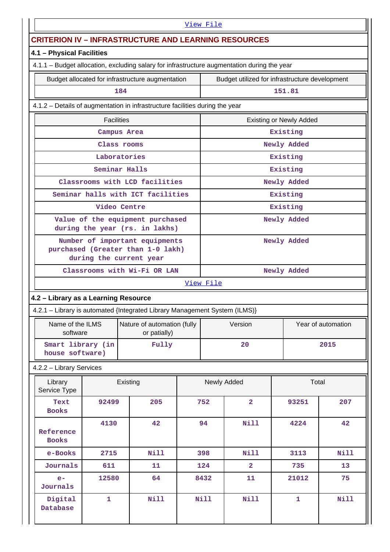| View File                                                   |                                                                                                |                                                                                             |  |             |                                                |              |             |
|-------------------------------------------------------------|------------------------------------------------------------------------------------------------|---------------------------------------------------------------------------------------------|--|-------------|------------------------------------------------|--------------|-------------|
| <b>CRITERION IV - INFRASTRUCTURE AND LEARNING RESOURCES</b> |                                                                                                |                                                                                             |  |             |                                                |              |             |
| 4.1 - Physical Facilities                                   |                                                                                                |                                                                                             |  |             |                                                |              |             |
|                                                             |                                                                                                | 4.1.1 - Budget allocation, excluding salary for infrastructure augmentation during the year |  |             |                                                |              |             |
|                                                             |                                                                                                | Budget allocated for infrastructure augmentation                                            |  |             | Budget utilized for infrastructure development |              |             |
|                                                             |                                                                                                | 184                                                                                         |  |             |                                                | 151.81       |             |
|                                                             |                                                                                                | 4.1.2 - Details of augmentation in infrastructure facilities during the year                |  |             |                                                |              |             |
|                                                             | <b>Facilities</b>                                                                              |                                                                                             |  |             | <b>Existing or Newly Added</b>                 |              |             |
|                                                             |                                                                                                | Campus Area                                                                                 |  |             |                                                | Existing     |             |
|                                                             |                                                                                                | Class rooms                                                                                 |  |             |                                                | Newly Added  |             |
|                                                             |                                                                                                | Laboratories                                                                                |  |             |                                                | Existing     |             |
|                                                             |                                                                                                | Seminar Halls                                                                               |  |             |                                                | Existing     |             |
|                                                             |                                                                                                | Classrooms with LCD facilities                                                              |  |             |                                                | Newly Added  |             |
|                                                             |                                                                                                | Seminar halls with ICT facilities                                                           |  |             |                                                | Existing     |             |
|                                                             | Video Centre                                                                                   |                                                                                             |  |             |                                                | Existing     |             |
|                                                             | Value of the equipment purchased<br>during the year (rs. in lakhs)                             |                                                                                             |  |             |                                                | Newly Added  |             |
|                                                             | Number of important equipments<br>purchased (Greater than 1-0 lakh)<br>during the current year |                                                                                             |  |             |                                                | Newly Added  |             |
|                                                             |                                                                                                | Classrooms with Wi-Fi OR LAN                                                                |  |             |                                                | Newly Added  |             |
|                                                             |                                                                                                |                                                                                             |  | View File   |                                                |              |             |
| 4.2 - Library as a Learning Resource                        |                                                                                                |                                                                                             |  |             |                                                |              |             |
|                                                             |                                                                                                | 4.2.1 - Library is automated {Integrated Library Management System (ILMS)}                  |  |             |                                                |              |             |
| Name of the ILMS<br>software                                |                                                                                                | Nature of automation (fully<br>or patially)                                                 |  |             | Version<br>Year of automation                  |              |             |
| Smart library (in<br>house software)                        |                                                                                                | Fully                                                                                       |  | 20<br>2015  |                                                |              |             |
| 4.2.2 - Library Services                                    |                                                                                                |                                                                                             |  |             |                                                |              |             |
| Library<br>Service Type                                     |                                                                                                | Existing                                                                                    |  |             | Newly Added                                    | Total        |             |
| Text<br><b>Books</b>                                        | 92499                                                                                          | 205                                                                                         |  | 752         | $\overline{2}$                                 | 93251        | 207         |
| Reference<br><b>Books</b>                                   | 4130                                                                                           | 42                                                                                          |  | 94          | Nill                                           | 4224         | 42          |
| e-Books                                                     | 2715                                                                                           | <b>Nill</b>                                                                                 |  | 398         | Nill                                           | 3113         | <b>Nill</b> |
| Journals                                                    | 611                                                                                            | 11                                                                                          |  | 124         | $\overline{2}$                                 | 735          | 13          |
| $e-$<br>Journals                                            | 12580                                                                                          | 64                                                                                          |  | 8432        | 11                                             | 21012        | 75          |
| Digital<br>Database                                         | $\mathbf{1}$                                                                                   | <b>Nill</b>                                                                                 |  | <b>Nill</b> | Nill                                           | $\mathbf{1}$ | <b>Nill</b> |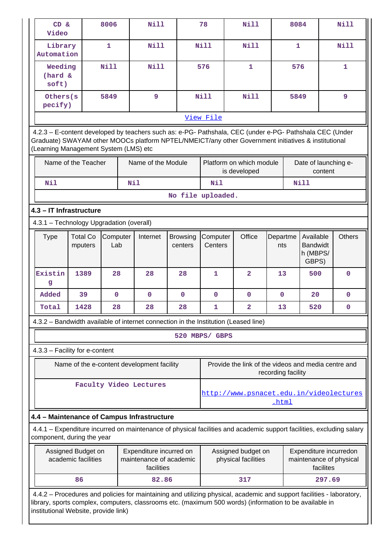| CD &<br>Video                                                                                                                                                                                                                                           |                                           | 8006            |     | <b>Nill</b>                                                                                                                                                                                                                      |                            | 78                  | Nill                                                |                    | 8084         |                                                   |           | <b>Nill</b>                                       |
|---------------------------------------------------------------------------------------------------------------------------------------------------------------------------------------------------------------------------------------------------------|-------------------------------------------|-----------------|-----|----------------------------------------------------------------------------------------------------------------------------------------------------------------------------------------------------------------------------------|----------------------------|---------------------|-----------------------------------------------------|--------------------|--------------|---------------------------------------------------|-----------|---------------------------------------------------|
| Library<br>Automation                                                                                                                                                                                                                                   |                                           | $\mathbf{1}$    |     | <b>Nill</b>                                                                                                                                                                                                                      |                            | Nill                | <b>Nill</b>                                         |                    | $\mathbf{1}$ |                                                   |           | <b>Nill</b>                                       |
| Weeding<br>(hard &<br>soft)                                                                                                                                                                                                                             |                                           | Nill            |     | <b>Nill</b>                                                                                                                                                                                                                      |                            | 576                 | $\mathbf{1}$                                        |                    | 576          |                                                   |           | 1                                                 |
| Others (s<br>pecify)                                                                                                                                                                                                                                    |                                           | 5849            |     | 9                                                                                                                                                                                                                                |                            | <b>Nill</b>         | <b>Nill</b>                                         |                    | 5849         |                                                   |           | 9                                                 |
|                                                                                                                                                                                                                                                         |                                           |                 |     |                                                                                                                                                                                                                                  |                            | View File           |                                                     |                    |              |                                                   |           |                                                   |
| 4.2.3 - E-content developed by teachers such as: e-PG- Pathshala, CEC (under e-PG- Pathshala CEC (Under<br>Graduate) SWAYAM other MOOCs platform NPTEL/NMEICT/any other Government initiatives & institutional<br>(Learning Management System (LMS) etc |                                           |                 |     |                                                                                                                                                                                                                                  |                            |                     |                                                     |                    |              |                                                   |           |                                                   |
|                                                                                                                                                                                                                                                         | Name of the Teacher                       |                 |     | Name of the Module                                                                                                                                                                                                               |                            |                     | Platform on which module<br>is developed            |                    |              | Date of launching e-                              | content   |                                                   |
| Nil                                                                                                                                                                                                                                                     |                                           |                 | Nil |                                                                                                                                                                                                                                  |                            | Nil                 |                                                     |                    |              | <b>Nill</b>                                       |           |                                                   |
|                                                                                                                                                                                                                                                         |                                           |                 |     |                                                                                                                                                                                                                                  | No file uploaded.          |                     |                                                     |                    |              |                                                   |           |                                                   |
| 4.3 - IT Infrastructure                                                                                                                                                                                                                                 |                                           |                 |     |                                                                                                                                                                                                                                  |                            |                     |                                                     |                    |              |                                                   |           |                                                   |
| 4.3.1 - Technology Upgradation (overall)                                                                                                                                                                                                                |                                           |                 |     |                                                                                                                                                                                                                                  |                            |                     |                                                     |                    |              |                                                   |           |                                                   |
| <b>Type</b>                                                                                                                                                                                                                                             | <b>Total Co</b><br>mputers                | Computer<br>Lab |     | Internet                                                                                                                                                                                                                         | <b>Browsing</b><br>centers | Computer<br>Centers | Office                                              | Departme<br>nts    |              | Available<br><b>Bandwidt</b><br>h (MBPS/<br>GBPS) |           | <b>Others</b>                                     |
| Existin<br>g                                                                                                                                                                                                                                            | 1389                                      | 28              |     | 28                                                                                                                                                                                                                               | 28                         | $\mathbf{1}$        | $\overline{2}$                                      | 13                 |              | 500                                               |           | $\mathbf 0$                                       |
| Added                                                                                                                                                                                                                                                   | 39                                        | $\mathbf 0$     |     | $\mathbf 0$                                                                                                                                                                                                                      | $\mathbf 0$                | $\mathbf 0$         | $\mathbf 0$                                         | $\mathbf 0$        |              | 20                                                |           | $\mathbf 0$                                       |
| Total                                                                                                                                                                                                                                                   | 1428                                      | 28              |     | 28                                                                                                                                                                                                                               | 28                         | 1                   | $\overline{\mathbf{2}}$                             | 13                 |              | 520                                               |           | $\mathbf 0$                                       |
|                                                                                                                                                                                                                                                         |                                           |                 |     | 4.3.2 – Bandwidth available of internet connection in the Institution (Leased line)                                                                                                                                              |                            |                     |                                                     |                    |              |                                                   |           |                                                   |
|                                                                                                                                                                                                                                                         |                                           |                 |     |                                                                                                                                                                                                                                  |                            | 520 MBPS/ GBPS      |                                                     |                    |              |                                                   |           |                                                   |
| 4.3.3 - Facility for e-content                                                                                                                                                                                                                          |                                           |                 |     |                                                                                                                                                                                                                                  |                            |                     |                                                     |                    |              |                                                   |           |                                                   |
|                                                                                                                                                                                                                                                         |                                           |                 |     | Name of the e-content development facility                                                                                                                                                                                       |                            |                     | Provide the link of the videos and media centre and | recording facility |              |                                                   |           |                                                   |
|                                                                                                                                                                                                                                                         |                                           |                 |     | Faculty Video Lectures                                                                                                                                                                                                           |                            |                     | http://www.psnacet.edu.in/videolectures             | <u>.html</u>       |              |                                                   |           |                                                   |
|                                                                                                                                                                                                                                                         |                                           |                 |     | 4.4 - Maintenance of Campus Infrastructure                                                                                                                                                                                       |                            |                     |                                                     |                    |              |                                                   |           |                                                   |
| component, during the year                                                                                                                                                                                                                              |                                           |                 |     | 4.4.1 – Expenditure incurred on maintenance of physical facilities and academic support facilities, excluding salary                                                                                                             |                            |                     |                                                     |                    |              |                                                   |           |                                                   |
|                                                                                                                                                                                                                                                         | Assigned Budget on<br>academic facilities |                 |     | Expenditure incurred on<br>maintenance of academic<br>facilities                                                                                                                                                                 |                            |                     | Assigned budget on<br>physical facilities           |                    |              |                                                   | facilites | Expenditure incurredon<br>maintenance of physical |
|                                                                                                                                                                                                                                                         | 86                                        |                 |     | 82.86                                                                                                                                                                                                                            |                            |                     | 317                                                 |                    |              |                                                   | 297.69    |                                                   |
| institutional Website, provide link)                                                                                                                                                                                                                    |                                           |                 |     | 4.4.2 - Procedures and policies for maintaining and utilizing physical, academic and support facilities - laboratory,<br>library, sports complex, computers, classrooms etc. (maximum 500 words) (information to be available in |                            |                     |                                                     |                    |              |                                                   |           |                                                   |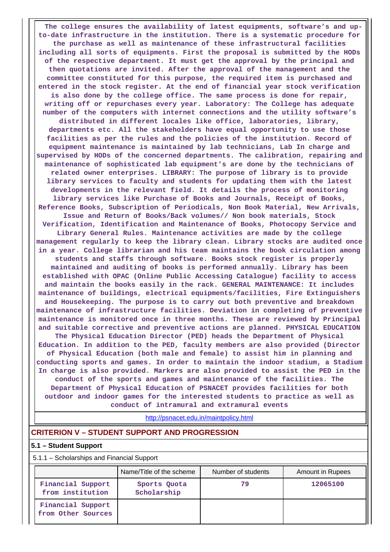**The college ensures the availability of latest equipments, software's and upto-date infrastructure in the institution. There is a systematic procedure for the purchase as well as maintenance of these infrastructural facilities including all sorts of equipments. First the proposal is submitted by the HODs of the respective department. It must get the approval by the principal and then quotations are invited. After the approval of the management and the committee constituted for this purpose, the required item is purchased and entered in the stock register. At the end of financial year stock verification is also done by the college office. The same process is done for repair, writing off or repurchases every year. Laboratory: The College has adequate number of the computers with internet connections and the utility software's distributed in different locales like office, laboratories, library, departments etc. All the stakeholders have equal opportunity to use those facilities as per the rules and the policies of the institution. Record of equipment maintenance is maintained by lab technicians, Lab In charge and supervised by HODs of the concerned departments. The calibration, repairing and maintenance of sophisticated lab equipment's are done by the technicians of related owner enterprises. LIBRARY: The purpose of library is to provide library services to faculty and students for updating them with the latest developments in the relevant field. It details the process of monitoring library services like Purchase of Books and Journals, Receipt of Books, Reference Books, Subscription of Periodicals, Non Book Material, New Arrivals, Issue and Return of Books/Back volumes// Non book materials, Stock Verification, Identification and Maintenance of Books, Photocopy Service and Library General Rules. Maintenance activities are made by the college management regularly to keep the library clean. Library stocks are audited once in a year. College librarian and his team maintains the book circulation among students and staffs through software. Books stock register is properly maintained and auditing of books is performed annually. Library has been established with OPAC (Online Public Accessing Catalogue) facility to access and maintain the books easily in the rack. GENERAL MAINTENANCE: It includes maintenance of buildings, electrical equipments/facilities, Fire Extinguishers and Housekeeping. The purpose is to carry out both preventive and breakdown maintenance of infrastructure facilities. Deviation in completing of preventive maintenance is monitored once in three months. These are reviewed by Principal and suitable corrective and preventive actions are planned. PHYSICAL EDUCATION The Physical Education Director (PED) heads the Department of Physical Education. In addition to the PED, faculty members are also provided (Director of Physical Education (both male and female) to assist him in planning and conducting sports and games. In order to maintain the indoor stadium, a Stadium In charge is also provided. Markers are also provided to assist the PED in the conduct of the sports and games and maintenance of the facilities. The Department of Physical Education of PSNACET provides facilities for both outdoor and indoor games for the interested students to practice as well as conduct of intramural and extramural events**

<http://psnacet.edu.in/maintpolicy.html>

### **CRITERION V – STUDENT SUPPORT AND PROGRESSION**

#### **5.1 – Student Support**

5.1.1 – Scholarships and Financial Support

|                                         | Name/Title of the scheme    | Number of students | <b>Amount in Rupees</b> |
|-----------------------------------------|-----------------------------|--------------------|-------------------------|
| Financial Support<br>from institution   | Sports Quota<br>Scholarship | 79                 | 12065100                |
| Financial Support<br>from Other Sources |                             |                    |                         |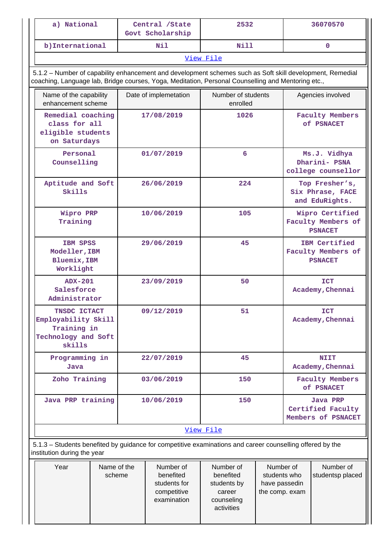| a) National                                                                                                                                                                                                     |                                                                         | Central /State<br>Govt Scholarship |                                                                      | 2532                                                                        |                                                              | 36070570                                                |                                                      |
|-----------------------------------------------------------------------------------------------------------------------------------------------------------------------------------------------------------------|-------------------------------------------------------------------------|------------------------------------|----------------------------------------------------------------------|-----------------------------------------------------------------------------|--------------------------------------------------------------|---------------------------------------------------------|------------------------------------------------------|
|                                                                                                                                                                                                                 | b) International                                                        |                                    | N11                                                                  | Nill                                                                        |                                                              |                                                         | $\mathbf{0}$                                         |
|                                                                                                                                                                                                                 |                                                                         |                                    |                                                                      | View File                                                                   |                                                              |                                                         |                                                      |
| 5.1.2 - Number of capability enhancement and development schemes such as Soft skill development, Remedial<br>coaching, Language lab, Bridge courses, Yoga, Meditation, Personal Counselling and Mentoring etc., |                                                                         |                                    |                                                                      |                                                                             |                                                              |                                                         |                                                      |
| Name of the capability<br>enhancement scheme                                                                                                                                                                    |                                                                         |                                    | Date of implemetation                                                | Number of students<br>enrolled                                              |                                                              |                                                         | Agencies involved                                    |
|                                                                                                                                                                                                                 | Remedial coaching<br>class for all<br>eligible students<br>on Saturdays |                                    | 17/08/2019                                                           | 1026                                                                        |                                                              |                                                         | <b>Faculty Members</b><br><b>of PSNACET</b>          |
| Personal<br>Counselling                                                                                                                                                                                         |                                                                         | 01/07/2019                         |                                                                      | 6                                                                           |                                                              |                                                         | Ms.J. Vidhya<br>Dharini- PSNA<br>college counsellor  |
| Skills                                                                                                                                                                                                          | Aptitude and Soft<br>26/06/2019                                         |                                    |                                                                      | 224                                                                         |                                                              |                                                         | Top Fresher's,<br>Six Phrase, FACE<br>and EduRights. |
| Wipro PRP<br>Training                                                                                                                                                                                           |                                                                         | 10/06/2019                         |                                                                      | 105                                                                         |                                                              | Wipro Certified<br>Faculty Members of<br><b>PSNACET</b> |                                                      |
|                                                                                                                                                                                                                 | IBM SPSS<br>Modeller, IBM<br>Bluemix, IBM<br>Worklight                  |                                    | 29/06/2019                                                           | 45                                                                          |                                                              | IBM Certified<br>Faculty Members of<br><b>PSNACET</b>   |                                                      |
| <b>ADX-201</b><br>Salesforce<br>Administrator                                                                                                                                                                   |                                                                         |                                    | 23/09/2019                                                           | 50                                                                          |                                                              | <b>ICT</b><br>Academy, Chennai                          |                                                      |
| TNSDC ICTACT<br>Employability Skill<br>Training in<br>Technology and Soft<br>skills                                                                                                                             |                                                                         |                                    | 09/12/2019                                                           | 51                                                                          |                                                              |                                                         | <b>ICT</b><br>Academy, Chennai                       |
| Programming in<br>Java                                                                                                                                                                                          |                                                                         |                                    | 22/07/2019                                                           | 45                                                                          |                                                              |                                                         | <b>NIIT</b><br>Academy, Chennai                      |
| Zoho Training                                                                                                                                                                                                   |                                                                         |                                    | 03/06/2019                                                           | 150                                                                         |                                                              |                                                         | <b>Faculty Members</b><br><b>of PSNACET</b>          |
|                                                                                                                                                                                                                 | Java PRP training                                                       |                                    | 10/06/2019                                                           | 150                                                                         |                                                              |                                                         | Java PRP<br>Certified Faculty<br>Members of PSNACET  |
|                                                                                                                                                                                                                 |                                                                         |                                    |                                                                      | View File                                                                   |                                                              |                                                         |                                                      |
| 5.1.3 - Students benefited by guidance for competitive examinations and career counselling offered by the<br>institution during the year                                                                        |                                                                         |                                    |                                                                      |                                                                             |                                                              |                                                         |                                                      |
| Year                                                                                                                                                                                                            | Name of the<br>scheme                                                   |                                    | Number of<br>benefited<br>students for<br>competitive<br>examination | Number of<br>benefited<br>students by<br>career<br>counseling<br>activities | Number of<br>students who<br>have passedin<br>the comp. exam |                                                         | Number of<br>studentsp placed                        |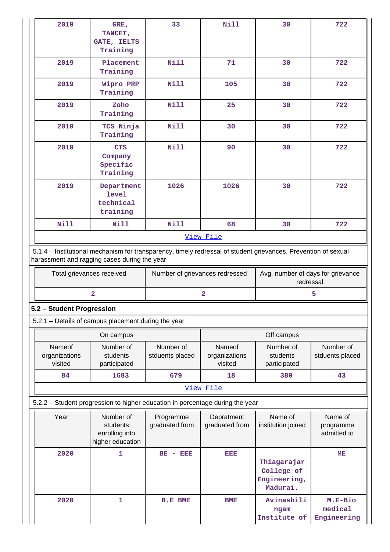| 2019                                                                          | GRE,<br>TANCET,<br>GATE, IELTS<br>Training                                                                                                                                                                                                                         | 33                           | Nill                               | 30                                                    | 722                                 |  |  |
|-------------------------------------------------------------------------------|--------------------------------------------------------------------------------------------------------------------------------------------------------------------------------------------------------------------------------------------------------------------|------------------------------|------------------------------------|-------------------------------------------------------|-------------------------------------|--|--|
| 2019                                                                          | Placement<br>Training                                                                                                                                                                                                                                              | <b>Nill</b>                  | 71                                 | 30                                                    | 722                                 |  |  |
| 2019                                                                          | Wipro PRP<br>Training                                                                                                                                                                                                                                              | <b>Nill</b>                  | 105                                | 30                                                    | 722                                 |  |  |
| 2019                                                                          | Zoho<br>Training                                                                                                                                                                                                                                                   | <b>Nill</b>                  | 25                                 | 30                                                    | 722                                 |  |  |
| 2019                                                                          | TCS Ninja<br>Training                                                                                                                                                                                                                                              | <b>Nill</b>                  | 30                                 | 30                                                    | 722                                 |  |  |
| 2019                                                                          | <b>CTS</b><br>Company<br>Specific<br>Training                                                                                                                                                                                                                      | <b>Nill</b>                  | 90                                 | 30                                                    | 722                                 |  |  |
| 2019                                                                          | Department<br><b>level</b><br>technical<br>training                                                                                                                                                                                                                | 1026                         | 1026                               | 30                                                    | 722                                 |  |  |
| <b>Nill</b>                                                                   | <b>Nill</b>                                                                                                                                                                                                                                                        | <b>Nill</b>                  | 68                                 | 30                                                    | 722                                 |  |  |
|                                                                               |                                                                                                                                                                                                                                                                    |                              | View File                          |                                                       |                                     |  |  |
|                                                                               | 5.1.4 - Institutional mechanism for transparency, timely redressal of student grievances, Prevention of sexual<br>harassment and ragging cases during the year<br>Avg. number of days for grievance<br>Total grievances received<br>Number of grievances redressed |                              |                                    |                                                       |                                     |  |  |
|                                                                               | $\overline{\mathbf{2}}$                                                                                                                                                                                                                                            |                              | $\mathbf{2}$                       | redressal                                             | 5                                   |  |  |
| 5.2 - Student Progression                                                     |                                                                                                                                                                                                                                                                    |                              |                                    |                                                       |                                     |  |  |
| 5.2.1 - Details of campus placement during the year                           |                                                                                                                                                                                                                                                                    |                              |                                    |                                                       |                                     |  |  |
|                                                                               | On campus                                                                                                                                                                                                                                                          |                              |                                    | Off campus                                            |                                     |  |  |
| Nameof<br>organizations<br>visited                                            | Number of<br>students<br>participated                                                                                                                                                                                                                              | Number of<br>stduents placed | Nameof<br>organizations<br>visited | Number of<br>students<br>participated                 | Number of<br>stduents placed        |  |  |
| 84                                                                            | 1683                                                                                                                                                                                                                                                               | 679                          | 18                                 | 380                                                   | 43                                  |  |  |
|                                                                               |                                                                                                                                                                                                                                                                    |                              | View File                          |                                                       |                                     |  |  |
| 5.2.2 - Student progression to higher education in percentage during the year |                                                                                                                                                                                                                                                                    |                              |                                    |                                                       |                                     |  |  |
| Year                                                                          | Number of<br>students<br>enrolling into<br>higher education                                                                                                                                                                                                        | Programme<br>graduated from  | Depratment<br>graduated from       | Name of<br>institution joined                         | Name of<br>programme<br>admitted to |  |  |
| 2020                                                                          | $\mathbf{1}$                                                                                                                                                                                                                                                       | $BE - BEE$                   | EEE                                | Thiagarajar<br>College of<br>Engineering,<br>Madurai. | MЕ                                  |  |  |
| 2020                                                                          | $\mathbf{1}$                                                                                                                                                                                                                                                       | <b>B.E BME</b>               | <b>BME</b>                         | Avinashili<br>ngam<br>Institute of                    | M.E-Bio<br>medical<br>Engineering   |  |  |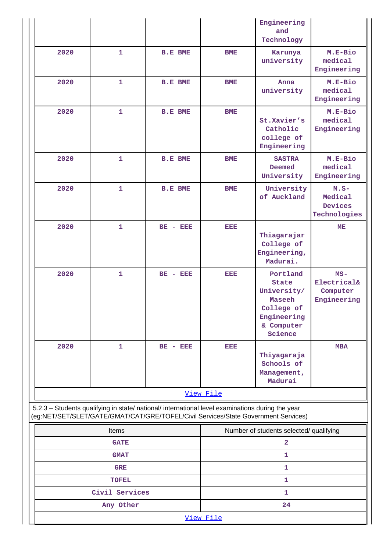|                                                                                                                                                                                        |                             |                |            | Engineering<br>and<br>Technology                                                                        |                                                             |  |
|----------------------------------------------------------------------------------------------------------------------------------------------------------------------------------------|-----------------------------|----------------|------------|---------------------------------------------------------------------------------------------------------|-------------------------------------------------------------|--|
| 2020                                                                                                                                                                                   | $\mathbf{1}$                | <b>B.E BME</b> | <b>BME</b> | Karunya<br>university                                                                                   | M.E-Bio<br>medical<br>Engineering                           |  |
| 2020                                                                                                                                                                                   | 1                           | <b>B.E BME</b> | <b>BME</b> | Anna<br>university                                                                                      | M.E-Bio<br>medical<br>Engineering                           |  |
| 2020                                                                                                                                                                                   | $\mathbf{1}$                | <b>B.E BME</b> | <b>BME</b> | St.Xavier's<br>Catholic<br>college of<br>Engineering                                                    | M.E-Bio<br>medical<br>Engineering                           |  |
| 2020                                                                                                                                                                                   | $\mathbf{1}$                | <b>B.E BME</b> | <b>BME</b> | <b>SASTRA</b><br>Deemed<br>University                                                                   | M.E-Bio<br>medical<br>Engineering                           |  |
| 2020                                                                                                                                                                                   | $\mathbf{1}$                | <b>B.E BME</b> | <b>BME</b> | University<br>of Auckland                                                                               | $M.S-$<br>Medical<br>Devices<br>Technologies                |  |
| 2020                                                                                                                                                                                   | $\mathbf{1}$                | $BE - BEE$     | EEE        | Thiagarajar<br>College of<br>Engineering,<br>Madurai.                                                   | ME                                                          |  |
| 2020                                                                                                                                                                                   | $\mathbf{1}$                | $BE - BEE$     | EEE        | Portland<br><b>State</b><br>University/<br>Maseeh<br>College of<br>Engineering<br>& Computer<br>Science | $MS -$<br><b>Electrical&amp;</b><br>Computer<br>Engineering |  |
| 2020                                                                                                                                                                                   | $\mathbf{1}$                | $BE - EEE$     | EEE        | Thiyagaraja<br>Schools of<br>Management,<br>Madurai                                                     | <b>MBA</b>                                                  |  |
|                                                                                                                                                                                        |                             |                | View File  |                                                                                                         |                                                             |  |
| 5.2.3 - Students qualifying in state/ national/ international level examinations during the year<br>(eg:NET/SET/SLET/GATE/GMAT/CAT/GRE/TOFEL/Civil Services/State Government Services) |                             |                |            |                                                                                                         |                                                             |  |
|                                                                                                                                                                                        | Items                       |                |            | Number of students selected/ qualifying                                                                 |                                                             |  |
|                                                                                                                                                                                        | <b>GATE</b>                 |                |            | $\overline{\mathbf{2}}$                                                                                 |                                                             |  |
|                                                                                                                                                                                        | <b>GMAT</b>                 |                | 1          |                                                                                                         |                                                             |  |
|                                                                                                                                                                                        |                             |                | 1          |                                                                                                         |                                                             |  |
|                                                                                                                                                                                        | <b>GRE</b>                  |                |            |                                                                                                         |                                                             |  |
|                                                                                                                                                                                        | <b>TOFEL</b>                |                |            | 1                                                                                                       |                                                             |  |
|                                                                                                                                                                                        | Civil Services<br>Any Other |                |            | 1<br>24                                                                                                 |                                                             |  |

 $\mathbf{I}$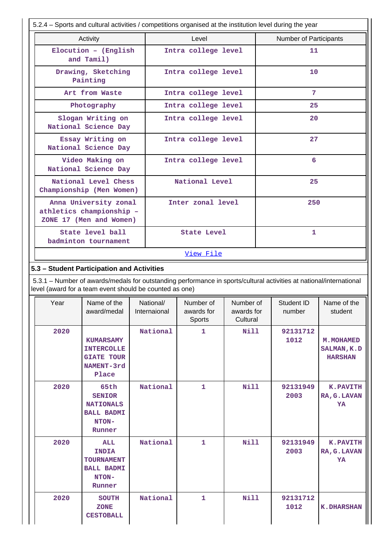| 5.2.4 - Sports and cultural activities / competitions organised at the institution level during the year |                                                                                                                                                                                |                     |           |     |                               |             |  |
|----------------------------------------------------------------------------------------------------------|--------------------------------------------------------------------------------------------------------------------------------------------------------------------------------|---------------------|-----------|-----|-------------------------------|-------------|--|
| Activity                                                                                                 |                                                                                                                                                                                | Level               |           |     | <b>Number of Participants</b> |             |  |
| Elocution - (English<br>and Tamil)                                                                       |                                                                                                                                                                                | Intra college level |           |     | 11                            |             |  |
| Drawing, Sketching<br>Painting                                                                           |                                                                                                                                                                                | Intra college level |           |     | 10                            |             |  |
| Art from Waste                                                                                           |                                                                                                                                                                                | Intra college level |           |     | 7                             |             |  |
| Photography                                                                                              |                                                                                                                                                                                | Intra college level |           |     | 25                            |             |  |
| Slogan Writing on<br>National Science Day                                                                |                                                                                                                                                                                | Intra college level |           |     | 20                            |             |  |
| Essay Writing on<br>National Science Day                                                                 |                                                                                                                                                                                | Intra college level |           |     | 27                            |             |  |
| Video Making on<br>National Science Day                                                                  |                                                                                                                                                                                | Intra college level |           | 6   |                               |             |  |
| National Level Chess<br>Championship (Men Women)                                                         |                                                                                                                                                                                | National Level      |           |     | 25                            |             |  |
| Anna University zonal<br>Inter zonal level<br>athletics championship -<br>ZONE 17 (Men and Women)        |                                                                                                                                                                                |                     |           | 250 |                               |             |  |
| State level ball<br>badminton tournament                                                                 |                                                                                                                                                                                | State Level         |           |     | $\mathbf{1}$                  |             |  |
|                                                                                                          | View File                                                                                                                                                                      |                     |           |     |                               |             |  |
| 5.3 - Student Participation and Activities                                                               |                                                                                                                                                                                |                     |           |     |                               |             |  |
|                                                                                                          | 5.3.1 – Number of awards/medals for outstanding performance in sports/cultural activities at national/international<br>level (award for a team event should be counted as one) |                     |           |     |                               |             |  |
| Name of the<br>Year                                                                                      | National/                                                                                                                                                                      | Number of           | Number of |     | Student ID                    | Name of the |  |

| Year | Name of the<br>award/medal                                                        | National/<br>Internaional | Number of<br>awards for<br>Sports | Number of<br>awards for<br>Cultural | Student ID<br>number | Name of the<br>student                      |
|------|-----------------------------------------------------------------------------------|---------------------------|-----------------------------------|-------------------------------------|----------------------|---------------------------------------------|
| 2020 | <b>KUMARSAMY</b><br><b>INTERCOLLE</b><br><b>GIATE TOUR</b><br>NAMENT-3rd<br>Place | National                  | $\mathbf{1}$                      | Nill                                | 92131712<br>1012     | M. MOHAMED<br>SALMAN, K.D<br><b>HARSHAN</b> |
| 2020 | 65th<br><b>SENIOR</b><br><b>NATIONALS</b><br><b>BALL BADMI</b><br>NTON-<br>Runner | National                  | $\mathbf{1}$                      | Nill                                | 92131949<br>2003     | <b>K.PAVITH</b><br>RA, G. LAVAN<br>YA       |
| 2020 | ALL<br><b>INDIA</b><br><b>TOURNAMENT</b><br><b>BALL BADMI</b><br>NTON-<br>Runner  | National                  | $\mathbf{1}$                      | Nill                                | 92131949<br>2003     | <b>K.PAVITH</b><br>RA, G. LAVAN<br>YA       |
| 2020 | <b>SOUTH</b><br><b>ZONE</b><br><b>CESTOBALL</b>                                   | National                  | $\mathbf{1}$                      | Nill                                | 92131712<br>1012     | <b>K.DHARSHAN</b>                           |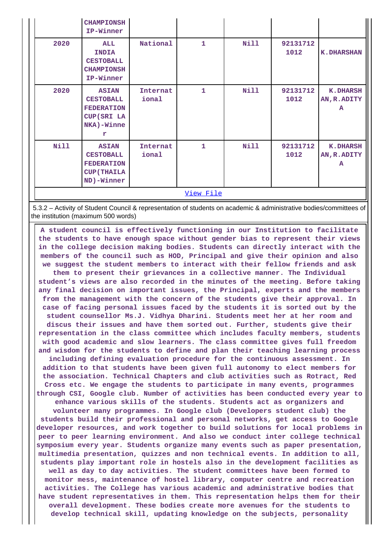|           | <b>CHAMPIONSH</b><br>IP-Winner                                                                     |                   |   |      |                  |                                      |
|-----------|----------------------------------------------------------------------------------------------------|-------------------|---|------|------------------|--------------------------------------|
| 2020      | ALL<br><b>INDIA</b><br><b>CESTOBALL</b><br><b>CHAMPIONSH</b><br>IP-Winner                          | National          | 1 | Nill | 92131712<br>1012 | <b>K.DHARSHAN</b>                    |
| 2020      | <b>ASIAN</b><br><b>CESTOBALL</b><br><b>FEDERATION</b><br>CUP (SRI LA<br>NKA)-Winne<br>$\mathbf{r}$ | Internat<br>ional | 1 | Nill | 92131712<br>1012 | <b>K.DHARSH</b><br>AN, R. ADITY<br>A |
| Nill      | <b>ASIAN</b><br><b>CESTOBALL</b><br><b>FEDERATION</b><br><b>CUP (THAILA</b><br>ND)-Winner          | Internat<br>ional | 1 | Nill | 92131712<br>1012 | <b>K.DHARSH</b><br>AN, R. ADITY<br>A |
| View File |                                                                                                    |                   |   |      |                  |                                      |

 5.3.2 – Activity of Student Council & representation of students on academic & administrative bodies/committees of the institution (maximum 500 words)

 **A student council is effectively functioning in our Institution to facilitate the students to have enough space without gender bias to represent their views in the college decision making bodies. Students can directly interact with the members of the council such as HOD, Principal and give their opinion and also we suggest the student members to interact with their fellow friends and ask them to present their grievances in a collective manner. The Individual student's views are also recorded in the minutes of the meeting. Before taking any final decision on important issues, the Principal, experts and the members from the management with the concern of the students give their approval. In case of facing personal issues faced by the students it is sorted out by the student counsellor Ms.J. Vidhya Dharini. Students meet her at her room and discus their issues and have them sorted out. Further, students give their representation in the class committee which includes faculty members, students with good academic and slow learners. The class committee gives full freedom and wisdom for the students to define and plan their teaching learning process including defining evaluation procedure for the continuous assessment. In addition to that students have been given full autonomy to elect members for the association. Technical Chapters and club activities such as Rotract, Red Cross etc. We engage the students to participate in many events, programmes through CSI, Google club. Number of activities has been conducted every year to enhance various skills of the students. Students act as organizers and volunteer many programmes. In Google club (Developers student club) the students build their professional and personal networks, get access to Google developer resources, and work together to build solutions for local problems in peer to peer learning environment. And also we conduct inter college technical symposium every year. Students organize many events such as paper presentation, multimedia presentation, quizzes and non technical events. In addition to all, students play important role in hostels also in the development facilities as well as day to day activities. The student committees have been formed to monitor mess, maintenance of hostel library, computer centre and recreation activities. The College has various academic and administrative bodies that have student representatives in them. This representation helps them for their overall development. These bodies create more avenues for the students to develop technical skill, updating knowledge on the subjects, personality**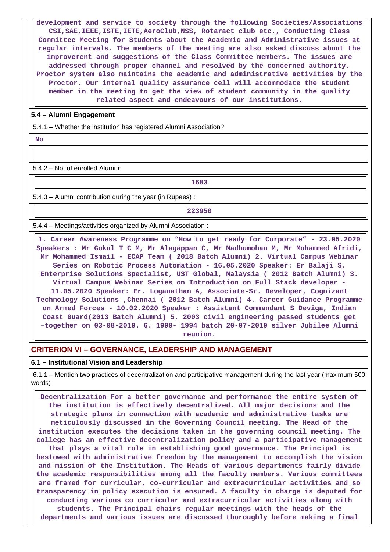**development and service to society through the following Societies/Associations CSI,SAE,IEEE,ISTE,IETE,AeroClub,NSS, Rotaract club etc., Conducting Class Committee Meeting for Students about the Academic and Administrative issues at regular intervals. The members of the meeting are also asked discuss about the improvement and suggestions of the Class Committee members. The issues are addressed through proper channel and resolved by the concerned authority. Proctor system also maintains the academic and administrative activities by the Proctor. Our internal quality assurance cell will accommodate the student member in the meeting to get the view of student community in the quality related aspect and endeavours of our institutions.**

#### **5.4 – Alumni Engagement**

5.4.1 – Whether the institution has registered Alumni Association?

 **No**

5.4.2 – No. of enrolled Alumni:

**1683**

5.4.3 – Alumni contribution during the year (in Rupees) :

**223950**

5.4.4 – Meetings/activities organized by Alumni Association :

 **1. Career Awareness Programme on "How to get ready for Corporate" - 23.05.2020 Speakers : Mr Gokul T C M, Mr Alagappan C, Mr Madhumohan M, Mr Mohammed Afridi, Mr Mohammed Ismail - ECAP Team ( 2018 Batch Alumni) 2. Virtual Campus Webinar Series on Robotic Process Automation - 16.05.2020 Speaker: Er Balaji S, Enterprise Solutions Specialist, UST Global, Malaysia ( 2012 Batch Alumni) 3. Virtual Campus Webinar Series on Introduction on Full Stack developer - 11.05.2020 Speaker: Er. Loganathan A, Associate-Sr. Developer, Cognizant Technology Solutions ,Chennai ( 2012 Batch Alumni) 4. Career Guidance Programme on Armed Forces - 10.02.2020 Speaker : Assistant Commandant S Deviga, Indian Coast Guard(2013 Batch Alumni) 5. 2003 civil engineering passed students get –together on 03-08-2019. 6. 1990- 1994 batch 20-07-2019 silver Jubilee Alumni reunion.**

#### **CRITERION VI – GOVERNANCE, LEADERSHIP AND MANAGEMENT**

**6.1 – Institutional Vision and Leadership**

 6.1.1 – Mention two practices of decentralization and participative management during the last year (maximum 500 words)

 **Decentralization For a better governance and performance the entire system of the institution is effectively decentralized. All major decisions and the strategic plans in connection with academic and administrative tasks are meticulously discussed in the Governing Council meeting. The Head of the institution executes the decisions taken in the governing council meeting. The college has an effective decentralization policy and a participative management that plays a vital role in establishing good governance. The Principal is bestowed with administrative freedom by the management to accomplish the vision and mission of the Institution. The Heads of various departments fairly divide the academic responsibilities among all the faculty members. Various committees are framed for curricular, co-curricular and extracurricular activities and so transparency in policy execution is ensured. A faculty in charge is deputed for conducting various co curricular and extracurricular activities along with students. The Principal chairs regular meetings with the heads of the departments and various issues are discussed thoroughly before making a final**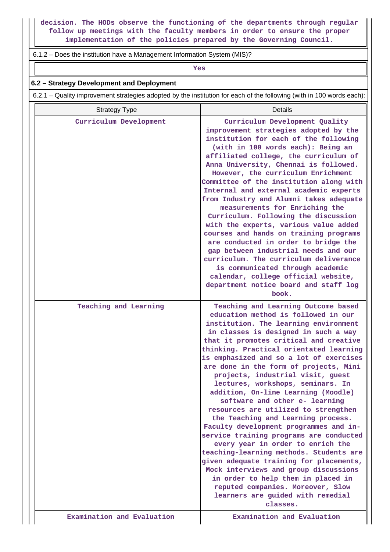**decision. The HODs observe the functioning of the departments through regular follow up meetings with the faculty members in order to ensure the proper implementation of the policies prepared by the Governing Council.**

### 6.1.2 – Does the institution have a Management Information System (MIS)?

*Yes* 

#### **6.2 – Strategy Development and Deployment**

6.2.1 – Quality improvement strategies adopted by the institution for each of the following (with in 100 words each):

| <b>Strategy Type</b>   | Details                                                                                                                                                                                                                                                                                                                                                                                                                                                                                                                                                                                                                                                                                                                                                                                                                                                                                                                                                     |
|------------------------|-------------------------------------------------------------------------------------------------------------------------------------------------------------------------------------------------------------------------------------------------------------------------------------------------------------------------------------------------------------------------------------------------------------------------------------------------------------------------------------------------------------------------------------------------------------------------------------------------------------------------------------------------------------------------------------------------------------------------------------------------------------------------------------------------------------------------------------------------------------------------------------------------------------------------------------------------------------|
| Curriculum Development | Curriculum Development Quality<br>improvement strategies adopted by the<br>institution for each of the following<br>(with in 100 words each): Being an<br>affiliated college, the curriculum of<br>Anna University, Chennai is followed.<br>However, the curriculum Enrichment<br>Committee of the institution along with<br>Internal and external academic experts<br>from Industry and Alumni takes adequate<br>measurements for Enriching the<br>Curriculum. Following the discussion<br>with the experts, various value added<br>courses and hands on training programs<br>are conducted in order to bridge the<br>gap between industrial needs and our<br>curriculum. The curriculum deliverance<br>is communicated through academic<br>calendar, college official website,<br>department notice board and staff log<br>book.                                                                                                                          |
| Teaching and Learning  | Teaching and Learning Outcome based<br>education method is followed in our<br>institution. The learning environment<br>in classes is designed in such a way<br>that it promotes critical and creative<br>thinking. Practical orientated learning<br>is emphasized and so a lot of exercises<br>are done in the form of projects, Mini<br>projects, industrial visit, guest<br>lectures, workshops, seminars. In<br>addition, On-line Learning (Moodle)<br>software and other e- learning<br>resources are utilized to strengthen<br>the Teaching and Learning process.<br>Faculty development programmes and in-<br>service training programs are conducted<br>every year in order to enrich the<br>teaching-learning methods. Students are<br>given adequate training for placements,<br>Mock interviews and group discussions<br>in order to help them in placed in<br>reputed companies. Moreover, Slow<br>learners are guided with remedial<br>classes. |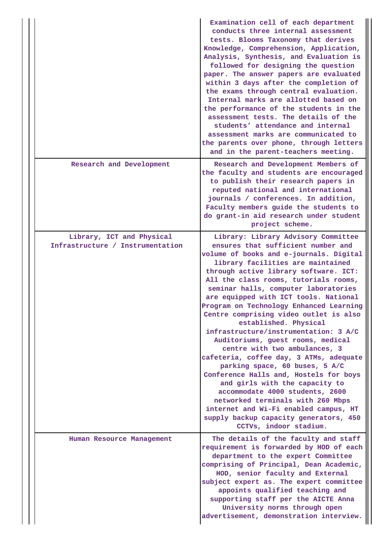|                                                               | Examination cell of each department<br>conducts three internal assessment<br>tests. Blooms Taxonomy that derives<br>Knowledge, Comprehension, Application,<br>Analysis, Synthesis, and Evaluation is<br>followed for designing the question<br>paper. The answer papers are evaluated<br>within 3 days after the completion of<br>the exams through central evaluation.<br>Internal marks are allotted based on<br>the performance of the students in the<br>assessment tests. The details of the<br>students' attendance and internal<br>assessment marks are communicated to<br>the parents over phone, through letters<br>and in the parent-teachers meeting.                                                                                                                                                                                                                                        |
|---------------------------------------------------------------|---------------------------------------------------------------------------------------------------------------------------------------------------------------------------------------------------------------------------------------------------------------------------------------------------------------------------------------------------------------------------------------------------------------------------------------------------------------------------------------------------------------------------------------------------------------------------------------------------------------------------------------------------------------------------------------------------------------------------------------------------------------------------------------------------------------------------------------------------------------------------------------------------------|
| Research and Development                                      | Research and Development Members of<br>the faculty and students are encouraged<br>to publish their research papers in<br>reputed national and international<br>journals / conferences. In addition,<br>Faculty members guide the students to<br>do grant-in aid research under student<br>project scheme.                                                                                                                                                                                                                                                                                                                                                                                                                                                                                                                                                                                               |
| Library, ICT and Physical<br>Infrastructure / Instrumentation | Library: Library Advisory Committee<br>ensures that sufficient number and<br>volume of books and e-journals. Digital<br>library facilities are maintained<br>through active library software. ICT:<br>All the class rooms, tutorials rooms,<br>seminar halls, computer laboratories<br>are equipped with ICT tools. National<br>Program on Technology Enhanced Learning<br>Centre comprising video outlet is also<br>established. Physical<br>infrastructure/instrumentation: 3 A/C<br>Auditoriums, guest rooms, medical<br>centre with two ambulances, 3<br>cafeteria, coffee day, 3 ATMs, adequate<br>parking space, 60 buses, 5 A/C<br>Conference Halls and, Hostels for boys<br>and girls with the capacity to<br>accommodate 4000 students, 2600<br>networked terminals with 260 Mbps<br>internet and Wi-Fi enabled campus, HT<br>supply backup capacity generators, 450<br>CCTVs, indoor stadium. |
| Human Resource Management                                     | The details of the faculty and staff<br>requirement is forwarded by HOD of each<br>department to the expert Committee<br>comprising of Principal, Dean Academic,<br>HOD, senior faculty and External<br>subject expert as. The expert committee<br>appoints qualified teaching and<br>supporting staff per the AICTE Anna<br>University norms through open<br>advertisement, demonstration interview.                                                                                                                                                                                                                                                                                                                                                                                                                                                                                                   |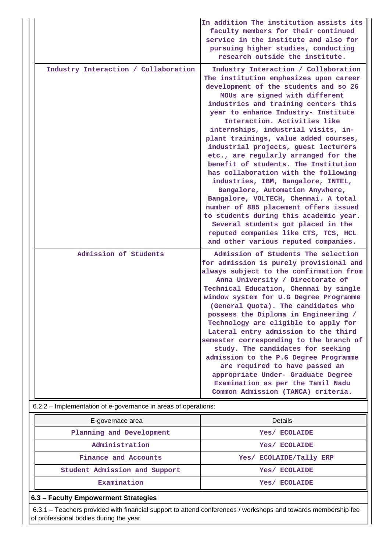|                                                                                         | In addition The institution assists its<br>faculty members for their continued<br>service in the institute and also for<br>pursuing higher studies, conducting<br>research outside the institute.                                                                                                                                                                                                                                                                                                                                                                                                                                                                                                                                                                                                                                                  |
|-----------------------------------------------------------------------------------------|----------------------------------------------------------------------------------------------------------------------------------------------------------------------------------------------------------------------------------------------------------------------------------------------------------------------------------------------------------------------------------------------------------------------------------------------------------------------------------------------------------------------------------------------------------------------------------------------------------------------------------------------------------------------------------------------------------------------------------------------------------------------------------------------------------------------------------------------------|
| Industry Interaction / Collaboration                                                    | Industry Interaction / Collaboration<br>The institution emphasizes upon career<br>development of the students and so 26<br>MOUs are signed with different<br>industries and training centers this<br>year to enhance Industry- Institute<br>Interaction. Activities like<br>internships, industrial visits, in-<br>plant trainings, value added courses,<br>industrial projects, guest lecturers<br>etc., are regularly arranged for the<br>benefit of students. The Institution<br>has collaboration with the following<br>industries, IBM, Bangalore, INTEL,<br>Bangalore, Automation Anywhere,<br>Bangalore, VOLTECH, Chennai. A total<br>number of 885 placement offers issued<br>to students during this academic year.<br>Several students got placed in the<br>reputed companies like CTS, TCS, HCL<br>and other various reputed companies. |
| Admission of Students<br>6.2.2 - Implementation of e-governance in areas of operations: | Admission of Students The selection<br>for admission is purely provisional and<br>always subject to the confirmation from<br>Anna University / Directorate of<br>Technical Education, Chennai by single<br>window system for U.G Degree Programme<br>(General Quota). The candidates who<br>possess the Diploma in Engineering /<br>Technology are eligible to apply for<br>Lateral entry admission to the third<br>semester corresponding to the branch of<br>study. The candidates for seeking<br>admission to the P.G Degree Programme<br>are required to have passed an<br>appropriate Under- Graduate Degree<br>Examination as per the Tamil Nadu<br>Common Admission (TANCA) criteria.                                                                                                                                                       |
|                                                                                         |                                                                                                                                                                                                                                                                                                                                                                                                                                                                                                                                                                                                                                                                                                                                                                                                                                                    |
| E-governace area<br>Planning and Development                                            | <b>Details</b><br>Yes/ ECOLAIDE                                                                                                                                                                                                                                                                                                                                                                                                                                                                                                                                                                                                                                                                                                                                                                                                                    |
| Administration                                                                          | Yes/ ECOLAIDE                                                                                                                                                                                                                                                                                                                                                                                                                                                                                                                                                                                                                                                                                                                                                                                                                                      |
| Finance and Accounts                                                                    | Yes/ ECOLAIDE/Tally ERP                                                                                                                                                                                                                                                                                                                                                                                                                                                                                                                                                                                                                                                                                                                                                                                                                            |
| Student Admission and Support                                                           | Yes/ ECOLAIDE                                                                                                                                                                                                                                                                                                                                                                                                                                                                                                                                                                                                                                                                                                                                                                                                                                      |
| Examination                                                                             | Yes/ ECOLAIDE                                                                                                                                                                                                                                                                                                                                                                                                                                                                                                                                                                                                                                                                                                                                                                                                                                      |

# **6.3 – Faculty Empowerment Strategies**

 6.3.1 – Teachers provided with financial support to attend conferences / workshops and towards membership fee of professional bodies during the year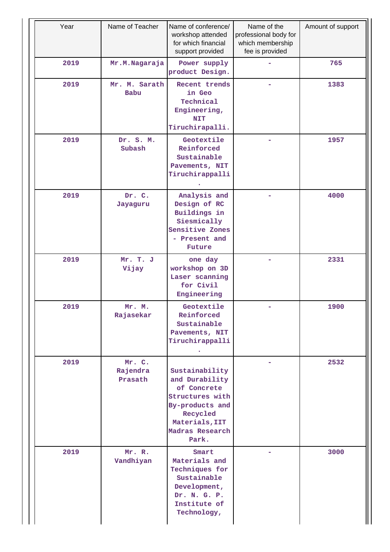| Year | Name of Teacher<br>Name of conference/<br>workshop attended<br>for which financial<br>support provided |                                                                                                                                                 | Name of the<br>professional body for<br>which membership<br>fee is provided | Amount of support |
|------|--------------------------------------------------------------------------------------------------------|-------------------------------------------------------------------------------------------------------------------------------------------------|-----------------------------------------------------------------------------|-------------------|
| 2019 | Mr.M.Nagaraja                                                                                          | Power supply<br>product Design.                                                                                                                 |                                                                             | 765               |
| 2019 | Mr. M. Sarath<br>Babu                                                                                  | Recent trends<br>in Geo<br>Technical<br>Engineering,<br><b>NIT</b><br>Tiruchirapalli.                                                           |                                                                             | 1383              |
| 2019 | Dr. S. M.<br>Subash                                                                                    | Geotextile<br>Reinforced<br>Sustainable<br>Pavements, NIT<br>Tiruchirappalli                                                                    | -                                                                           | 1957              |
| 2019 | Dr. C.<br>Jayaguru                                                                                     | Analysis and<br>Design of RC<br>Buildings in<br>Siesmically<br>Sensitive Zones<br>- Present and<br>Future                                       |                                                                             | 4000              |
| 2019 | Mr. T. J<br>Vijay                                                                                      | one day<br>workshop on 3D<br>Laser scanning<br>for Civil<br>Engineering                                                                         |                                                                             | 2331              |
| 2019 | Mr. M.<br>Rajasekar                                                                                    | Geotextile<br>Reinforced<br>Sustainable<br>Pavements, NIT<br>Tiruchirappalli                                                                    |                                                                             | 1900              |
| 2019 | Mr. C.<br>Rajendra<br>Prasath                                                                          | Sustainability<br>and Durability<br>of Concrete<br>Structures with<br>By-products and<br>Recycled<br>Materials, IIT<br>Madras Research<br>Park. |                                                                             | 2532              |
| 2019 | Mr. R.<br>Vandhiyan                                                                                    | Smart<br>Materials and<br>Techniques for<br>Sustainable<br>Development,<br>Dr. N. G. P.<br>Institute of<br>Technology,                          |                                                                             | 3000              |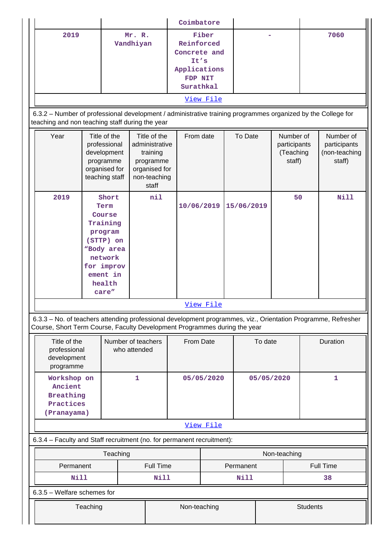|                                                                                                                                                                                            |  |                                                                                                                                   |                                                                                               |                                                                                                   | Coimbatore   |           |         |                 |      |                                                  |              |                                                      |
|--------------------------------------------------------------------------------------------------------------------------------------------------------------------------------------------|--|-----------------------------------------------------------------------------------------------------------------------------------|-----------------------------------------------------------------------------------------------|---------------------------------------------------------------------------------------------------|--------------|-----------|---------|-----------------|------|--------------------------------------------------|--------------|------------------------------------------------------|
| 2019<br>Vandhiyan                                                                                                                                                                          |  |                                                                                                                                   | Fiber<br>Mr. R.<br>Reinforced<br>Concrete and<br>It's<br>Applications<br>FDP NIT<br>Surathkal |                                                                                                   |              |           |         |                 | 7060 |                                                  |              |                                                      |
|                                                                                                                                                                                            |  |                                                                                                                                   |                                                                                               |                                                                                                   |              | View File |         |                 |      |                                                  |              |                                                      |
| 6.3.2 - Number of professional development / administrative training programmes organized by the College for<br>teaching and non teaching staff during the year                            |  |                                                                                                                                   |                                                                                               |                                                                                                   |              |           |         |                 |      |                                                  |              |                                                      |
| Year                                                                                                                                                                                       |  | Title of the<br>professional<br>development<br>programme<br>organised for<br>teaching staff                                       |                                                                                               | Title of the<br>administrative<br>training<br>programme<br>organised for<br>non-teaching<br>staff | From date    |           |         | To Date         |      | Number of<br>participants<br>(Teaching<br>staff) |              | Number of<br>participants<br>(non-teaching<br>staff) |
| 2019                                                                                                                                                                                       |  | Short<br>Term<br>Course<br>Training<br>program<br>(STTP) on<br>"Body area<br>network<br>for improv<br>ement in<br>health<br>care" |                                                                                               | nil                                                                                               | 10/06/2019   |           |         | 15/06/2019      |      | 50                                               |              | Nill                                                 |
|                                                                                                                                                                                            |  |                                                                                                                                   |                                                                                               | View File                                                                                         |              |           |         |                 |      |                                                  |              |                                                      |
| 6.3.3 - No. of teachers attending professional development programmes, viz., Orientation Programme, Refresher<br>Course, Short Term Course, Faculty Development Programmes during the year |  |                                                                                                                                   |                                                                                               |                                                                                                   |              |           |         |                 |      |                                                  |              |                                                      |
| Title of the<br>professional<br>development<br>programme                                                                                                                                   |  | Number of teachers<br>who attended                                                                                                |                                                                                               |                                                                                                   | From Date    |           | To date |                 |      | Duration                                         |              |                                                      |
| Workshop on<br>Ancient<br><b>Breathing</b><br>Practices<br>(Pranayama)                                                                                                                     |  | $\mathbf{1}$                                                                                                                      |                                                                                               |                                                                                                   | 05/05/2020   |           |         | 05/05/2020      |      |                                                  | $\mathbf{1}$ |                                                      |
|                                                                                                                                                                                            |  |                                                                                                                                   |                                                                                               |                                                                                                   |              | View File |         |                 |      |                                                  |              |                                                      |
| 6.3.4 - Faculty and Staff recruitment (no. for permanent recruitment):                                                                                                                     |  |                                                                                                                                   |                                                                                               |                                                                                                   |              |           |         |                 |      |                                                  |              |                                                      |
| Permanent                                                                                                                                                                                  |  | Teaching                                                                                                                          |                                                                                               | Full Time                                                                                         |              |           |         | Permanent       |      | Non-teaching                                     |              | <b>Full Time</b>                                     |
| Nill                                                                                                                                                                                       |  |                                                                                                                                   |                                                                                               | Nill                                                                                              |              |           |         | Nill            |      |                                                  |              | 38                                                   |
| 6.3.5 - Welfare schemes for                                                                                                                                                                |  |                                                                                                                                   |                                                                                               |                                                                                                   |              |           |         |                 |      |                                                  |              |                                                      |
| Teaching                                                                                                                                                                                   |  |                                                                                                                                   |                                                                                               |                                                                                                   | Non-teaching |           |         | <b>Students</b> |      |                                                  |              |                                                      |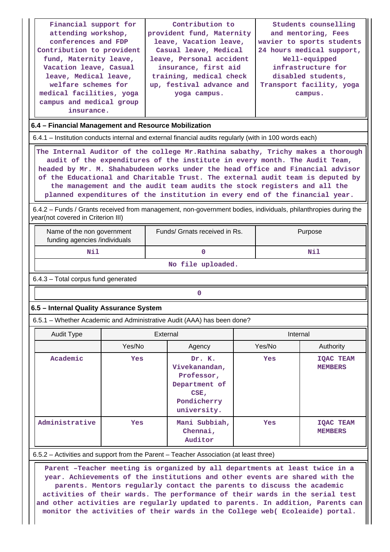| Financial support for<br>Contribution to<br>Students counselling<br>attending workshop,<br>provident fund, Maternity<br>and mentoring, Fees<br>conferences and FDP<br>leave, Vacation leave,<br>wavier to sports students<br>Contribution to provident<br>Casual leave, Medical<br>24 hours medical support,<br>fund, Maternity leave,<br>leave, Personal accident<br>Well-equipped<br>Vacation leave, Casual<br>insurance, first aid<br>infrastructure for<br>training, medical check<br>disabled students,<br>leave, Medical leave,<br>welfare schemes for<br>up, festival advance and<br>Transport facility, yoga<br>medical facilities, yoga<br>yoga campus.<br>campus.<br>campus and medical group<br>insurance.<br>6.4 - Financial Management and Resource Mobilization |                                                                                                         |          |                                                                                              |  |          |                                    |  |  |
|-------------------------------------------------------------------------------------------------------------------------------------------------------------------------------------------------------------------------------------------------------------------------------------------------------------------------------------------------------------------------------------------------------------------------------------------------------------------------------------------------------------------------------------------------------------------------------------------------------------------------------------------------------------------------------------------------------------------------------------------------------------------------------|---------------------------------------------------------------------------------------------------------|----------|----------------------------------------------------------------------------------------------|--|----------|------------------------------------|--|--|
|                                                                                                                                                                                                                                                                                                                                                                                                                                                                                                                                                                                                                                                                                                                                                                               |                                                                                                         |          |                                                                                              |  |          |                                    |  |  |
| 6.4.1 – Institution conducts internal and external financial audits regularly (with in 100 words each)                                                                                                                                                                                                                                                                                                                                                                                                                                                                                                                                                                                                                                                                        |                                                                                                         |          |                                                                                              |  |          |                                    |  |  |
| The Internal Auditor of the college Mr. Rathina sabathy, Trichy makes a thorough<br>audit of the expenditures of the institute in every month. The Audit Team,<br>headed by Mr. M. Shahabudeen works under the head office and Financial advisor<br>of the Educational and Charitable Trust. The external audit team is deputed by<br>the management and the audit team audits the stock registers and all the<br>planned expenditures of the institution in every end of the financial year.                                                                                                                                                                                                                                                                                 |                                                                                                         |          |                                                                                              |  |          |                                    |  |  |
| 6.4.2 – Funds / Grants received from management, non-government bodies, individuals, philanthropies during the<br>year(not covered in Criterion III)                                                                                                                                                                                                                                                                                                                                                                                                                                                                                                                                                                                                                          |                                                                                                         |          |                                                                                              |  |          |                                    |  |  |
|                                                                                                                                                                                                                                                                                                                                                                                                                                                                                                                                                                                                                                                                                                                                                                               | Funds/ Grnats received in Rs.<br>Purpose<br>Name of the non government<br>funding agencies /individuals |          |                                                                                              |  |          |                                    |  |  |
| Nil                                                                                                                                                                                                                                                                                                                                                                                                                                                                                                                                                                                                                                                                                                                                                                           |                                                                                                         |          | $\mathbf 0$                                                                                  |  |          | Nil                                |  |  |
|                                                                                                                                                                                                                                                                                                                                                                                                                                                                                                                                                                                                                                                                                                                                                                               |                                                                                                         |          | No file uploaded.                                                                            |  |          |                                    |  |  |
| 6.4.3 - Total corpus fund generated                                                                                                                                                                                                                                                                                                                                                                                                                                                                                                                                                                                                                                                                                                                                           |                                                                                                         |          |                                                                                              |  |          |                                    |  |  |
|                                                                                                                                                                                                                                                                                                                                                                                                                                                                                                                                                                                                                                                                                                                                                                               |                                                                                                         |          | 0                                                                                            |  |          |                                    |  |  |
| 6.5 - Internal Quality Assurance System                                                                                                                                                                                                                                                                                                                                                                                                                                                                                                                                                                                                                                                                                                                                       |                                                                                                         |          |                                                                                              |  |          |                                    |  |  |
| 6.5.1 – Whether Academic and Administrative Audit (AAA) has been done?                                                                                                                                                                                                                                                                                                                                                                                                                                                                                                                                                                                                                                                                                                        |                                                                                                         |          |                                                                                              |  |          |                                    |  |  |
| <b>Audit Type</b>                                                                                                                                                                                                                                                                                                                                                                                                                                                                                                                                                                                                                                                                                                                                                             |                                                                                                         | External |                                                                                              |  | Internal |                                    |  |  |
|                                                                                                                                                                                                                                                                                                                                                                                                                                                                                                                                                                                                                                                                                                                                                                               | Yes/No                                                                                                  |          | Agency                                                                                       |  | Yes/No   | Authority                          |  |  |
| Academic                                                                                                                                                                                                                                                                                                                                                                                                                                                                                                                                                                                                                                                                                                                                                                      | Yes                                                                                                     |          | Dr. K.<br>Vivekanandan,<br>Professor,<br>Department of<br>CSE,<br>Pondicherry<br>university. |  | Yes      | <b>IQAC TEAM</b><br><b>MEMBERS</b> |  |  |
| Administrative                                                                                                                                                                                                                                                                                                                                                                                                                                                                                                                                                                                                                                                                                                                                                                | Yes                                                                                                     |          | Mani Subbiah,<br>Chennai,<br>Auditor                                                         |  | Yes      | <b>IQAC TEAM</b><br><b>MEMBERS</b> |  |  |
|                                                                                                                                                                                                                                                                                                                                                                                                                                                                                                                                                                                                                                                                                                                                                                               |                                                                                                         |          |                                                                                              |  |          |                                    |  |  |
| 6.5.2 – Activities and support from the Parent – Teacher Association (at least three)<br>Parent -Teacher meeting is organized by all departments at least twice in a<br>year. Achievements of the institutions and other events are shared with the                                                                                                                                                                                                                                                                                                                                                                                                                                                                                                                           |                                                                                                         |          |                                                                                              |  |          |                                    |  |  |

**parents. Mentors regularly contact the parents to discuss the academic activities of their wards. The performance of their wards in the serial test and other activities are regularly updated to parents. In addition, Parents can monitor the activities of their wards in the College web( Ecoleaide) portal.**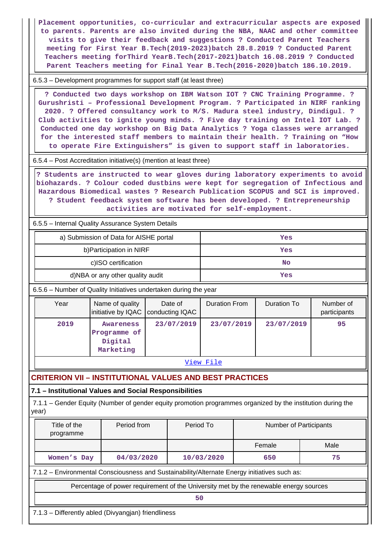**Placement opportunities, co-curricular and extracurricular aspects are exposed to parents. Parents are also invited during the NBA, NAAC and other committee visits to give their feedback and suggestions ? Conducted Parent Teachers meeting for First Year B.Tech(2019-2023)batch 28.8.2019 ? Conducted Parent Teachers meeting forThird YearB.Tech(2017-2021)batch 16.08.2019 ? Conducted Parent Teachers meeting for Final Year B.Tech(2016-2020)batch 186.10.2019.**

6.5.3 – Development programmes for support staff (at least three)

 **? Conducted two days workshop on IBM Watson IOT ? CNC Training Programme. ? Gurushristi – Professional Development Program. ? Participated in NIRF ranking 2020. ? Offered consultancy work to M/S. Madura steel industry, Dindigul. ? Club activities to ignite young minds. ? Five day training on Intel IOT Lab. ? Conducted one day workshop on Big Data Analytics ? Yoga classes were arranged for the interested staff members to maintain their health. ? Training on "How to operate Fire Extinguishers" is given to support staff in laboratories.**

6.5.4 – Post Accreditation initiative(s) (mention at least three)

 **? Students are instructed to wear gloves during laboratory experiments to avoid biohazards. ? Colour coded dustbins were kept for segregation of Infectious and Hazardous Biomedical wastes ? Research Publication SCOPUS and SCI is improved. ? Student feedback system software has been developed. ? Entrepreneurship activities are motivated for self-employment.**

6.5.5 – Internal Quality Assurance System Details

| a) Submission of Data for AISHE portal | Yes       |
|----------------------------------------|-----------|
| b) Participation in NIRF               | Yes       |
| c)ISO certification                    | <b>No</b> |
| d)NBA or any other quality audit       | Yes       |

6.5.6 – Number of Quality Initiatives undertaken during the year

| Year | Name of quality<br>initiative by IQAC   conducting IQAC | Date of    | <b>Duration From</b> | Duration To | Number of<br>participants |
|------|---------------------------------------------------------|------------|----------------------|-------------|---------------------------|
| 2019 | Awareness<br>Programme of<br>Digital<br>Marketing       | 23/07/2019 | 23/07/2019           | 23/07/2019  | 95                        |

[View File](https://assessmentonline.naac.gov.in/public/Postacc/Quality_Initiatives_B/11763_Quality_Initiatives_B_1629175738.xlsx)

# **CRITERION VII – INSTITUTIONAL VALUES AND BEST PRACTICES**

### **7.1 – Institutional Values and Social Responsibilities**

 7.1.1 – Gender Equity (Number of gender equity promotion programmes organized by the institution during the year)

| Female<br>Male                                       |  |
|------------------------------------------------------|--|
| 75<br>04/03/2020<br>10/03/2020<br>650<br>Women's Day |  |

7.1.2 – Environmental Consciousness and Sustainability/Alternate Energy initiatives such as:

Percentage of power requirement of the University met by the renewable energy sources

**50**

7.1.3 – Differently abled (Divyangjan) friendliness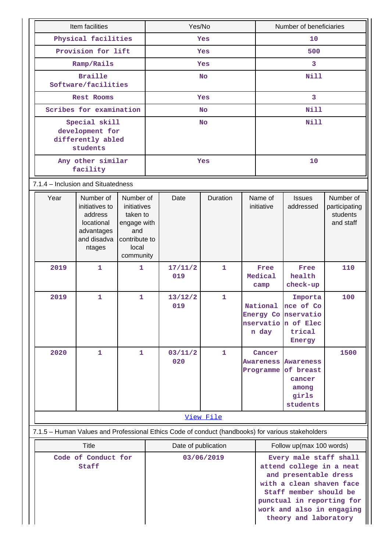| Item facilities                                  |                                                                                                   |                                                                                                   | Yes/No     |                                   |              |   | Number of beneficiaries                                                                                                                                                                                              |                                                                                               |                                                     |  |
|--------------------------------------------------|---------------------------------------------------------------------------------------------------|---------------------------------------------------------------------------------------------------|------------|-----------------------------------|--------------|---|----------------------------------------------------------------------------------------------------------------------------------------------------------------------------------------------------------------------|-----------------------------------------------------------------------------------------------|-----------------------------------------------------|--|
| Physical facilities                              |                                                                                                   |                                                                                                   | Yes        |                                   |              |   | 10                                                                                                                                                                                                                   |                                                                                               |                                                     |  |
|                                                  | Provision for lift                                                                                |                                                                                                   |            |                                   | Yes          |   | 500                                                                                                                                                                                                                  |                                                                                               |                                                     |  |
| Ramp/Rails                                       |                                                                                                   |                                                                                                   |            |                                   | Yes          | 3 |                                                                                                                                                                                                                      |                                                                                               |                                                     |  |
| <b>Braille</b>                                   |                                                                                                   |                                                                                                   | <b>No</b>  |                                   |              |   | Nill                                                                                                                                                                                                                 |                                                                                               |                                                     |  |
| Software/facilities                              |                                                                                                   |                                                                                                   | <b>Yes</b> |                                   |              |   | 3                                                                                                                                                                                                                    |                                                                                               |                                                     |  |
| Rest Rooms<br>Scribes for examination            |                                                                                                   |                                                                                                   |            |                                   |              |   | <b>Nill</b>                                                                                                                                                                                                          |                                                                                               |                                                     |  |
| Special skill                                    |                                                                                                   |                                                                                                   |            | <b>No</b>                         |              |   |                                                                                                                                                                                                                      | Nill                                                                                          |                                                     |  |
| development for<br>differently abled<br>students |                                                                                                   |                                                                                                   |            | <b>No</b>                         |              |   |                                                                                                                                                                                                                      |                                                                                               |                                                     |  |
|                                                  | Any other similar<br>facility                                                                     |                                                                                                   | Yes        |                                   |              |   | 10                                                                                                                                                                                                                   |                                                                                               |                                                     |  |
| 7.1.4 - Inclusion and Situatedness               |                                                                                                   |                                                                                                   |            |                                   |              |   |                                                                                                                                                                                                                      |                                                                                               |                                                     |  |
| Year                                             | Number of<br>initiatives to<br>address<br>locational<br>advantages<br>and disadva<br>ntages       | Number of<br>initiatives<br>taken to<br>engage with<br>and<br>contribute to<br>local<br>community |            | Date                              | Duration     |   | Name of<br>initiative                                                                                                                                                                                                | <b>Issues</b><br>addressed                                                                    | Number of<br>participating<br>students<br>and staff |  |
| 2019                                             | $\mathbf{1}$                                                                                      | $\mathbf{1}$                                                                                      |            | 17/11/2<br>019                    | $\mathbf{1}$ |   | Free<br>Medical<br>camp                                                                                                                                                                                              | Free<br>health<br>check-up                                                                    | 110                                                 |  |
| 2019                                             | 1                                                                                                 | 1                                                                                                 |            | 13/12/2<br>019                    | 1            |   | National<br>n day                                                                                                                                                                                                    | Importa<br>nce of Co<br>Energy Co nservatio<br>nservatio n of Elec<br>trical<br><b>Energy</b> | 100                                                 |  |
| 2020                                             | 1                                                                                                 | $\mathbf{1}$                                                                                      |            | 03/11/2<br>020                    | $\mathbf 1$  |   | Cancer<br><b>Awareness</b>                                                                                                                                                                                           | <b>Awareness</b><br>Programme of breast<br>cancer<br>among<br>girls<br>students               | 1500                                                |  |
|                                                  |                                                                                                   |                                                                                                   |            |                                   | View File    |   |                                                                                                                                                                                                                      |                                                                                               |                                                     |  |
|                                                  | 7.1.5 - Human Values and Professional Ethics Code of conduct (handbooks) for various stakeholders |                                                                                                   |            |                                   |              |   |                                                                                                                                                                                                                      |                                                                                               |                                                     |  |
|                                                  | <b>Title</b>                                                                                      |                                                                                                   |            |                                   |              |   |                                                                                                                                                                                                                      | Follow up(max 100 words)                                                                      |                                                     |  |
| Code of Conduct for<br>Staff                     |                                                                                                   |                                                                                                   |            | Date of publication<br>03/06/2019 |              |   | Every male staff shall<br>attend college in a neat<br>and presentable dress<br>with a clean shaven face<br>Staff member should be<br>punctual in reporting for<br>work and also in engaging<br>theory and laboratory |                                                                                               |                                                     |  |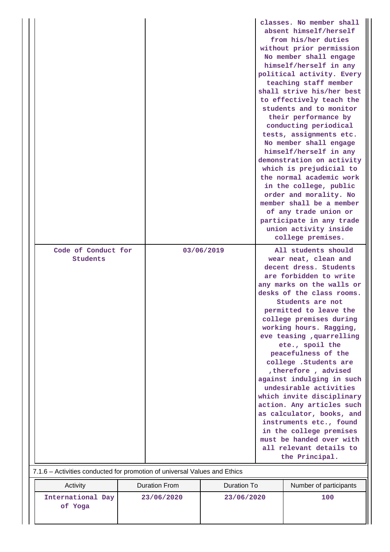|                                                                           |                      |             | classes. No member shall<br>absent himself/herself<br>from his/her duties<br>without prior permission<br>No member shall engage<br>himself/herself in any<br>political activity. Every<br>teaching staff member<br>shall strive his/her best<br>to effectively teach the<br>students and to monitor<br>their performance by<br>conducting periodical<br>tests, assignments etc.<br>No member shall engage<br>himself/herself in any<br>demonstration on activity<br>which is prejudicial to<br>the normal academic work<br>in the college, public<br>order and morality. No<br>member shall be a member<br>of any trade union or<br>participate in any trade<br>union activity inside<br>college premises. |
|---------------------------------------------------------------------------|----------------------|-------------|------------------------------------------------------------------------------------------------------------------------------------------------------------------------------------------------------------------------------------------------------------------------------------------------------------------------------------------------------------------------------------------------------------------------------------------------------------------------------------------------------------------------------------------------------------------------------------------------------------------------------------------------------------------------------------------------------------|
| Code of Conduct for<br>Students                                           |                      | 03/06/2019  | All students should<br>wear neat, clean and                                                                                                                                                                                                                                                                                                                                                                                                                                                                                                                                                                                                                                                                |
| 7.1.6 - Activities conducted for promotion of universal Values and Ethics |                      |             | decent dress. Students<br>are forbidden to write<br>any marks on the walls or<br>desks of the class rooms.<br>Students are not<br>permitted to leave the<br>college premises during<br>working hours. Ragging,<br>eve teasing , quarrelling<br>ete., spoil the<br>peacefulness of the<br>college .Students are<br>therefore, advised<br>against indulging in such<br>undesirable activities<br>which invite disciplinary<br>action. Any articles such<br>as calculator, books, and<br>instruments etc., found<br>in the college premises<br>must be handed over with<br>all relevant details to<br>the Principal.                                                                                          |
| Activity                                                                  | <b>Duration From</b> | Duration To | Number of participants                                                                                                                                                                                                                                                                                                                                                                                                                                                                                                                                                                                                                                                                                     |
| International Day<br>of Yoga                                              | 23/06/2020           | 23/06/2020  | 100                                                                                                                                                                                                                                                                                                                                                                                                                                                                                                                                                                                                                                                                                                        |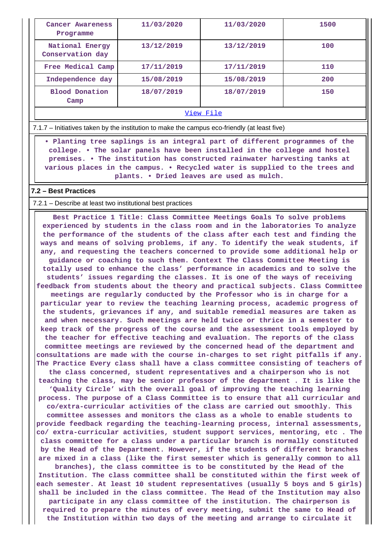| Cancer Awareness<br>Programme       | 11/03/2020 | 11/03/2020 | 1500 |  |  |  |  |
|-------------------------------------|------------|------------|------|--|--|--|--|
| National Energy<br>Conservation day | 13/12/2019 | 13/12/2019 | 100  |  |  |  |  |
| Free Medical Camp                   | 17/11/2019 | 17/11/2019 | 110  |  |  |  |  |
| Independence day                    | 15/08/2019 | 15/08/2019 | 200  |  |  |  |  |
| <b>Blood Donation</b><br>Camp       | 18/07/2019 | 18/07/2019 | 150  |  |  |  |  |
| View File                           |            |            |      |  |  |  |  |

7.1.7 – Initiatives taken by the institution to make the campus eco-friendly (at least five)

 **• Planting tree saplings is an integral part of different programmes of the college. • The solar panels have been installed in the college and hostel premises. • The institution has constructed rainwater harvesting tanks at various places in the campus. • Recycled water is supplied to the trees and plants. • Dried leaves are used as mulch.**

#### **7.2 – Best Practices**

#### 7.2.1 – Describe at least two institutional best practices

 **Best Practice 1 Title: Class Committee Meetings Goals To solve problems experienced by students in the class room and in the laboratories To analyze the performance of the students of the class after each test and finding the ways and means of solving problems, if any. To identify the weak students, if any, and requesting the teachers concerned to provide some additional help or guidance or coaching to such them. Context The Class Committee Meeting is totally used to enhance the class' performance in academics and to solve the students' issues regarding the classes. It is one of the ways of receiving feedback from students about the theory and practical subjects. Class Committee meetings are regularly conducted by the Professor who is in charge for a particular year to review the teaching learning process, academic progress of the students, grievances if any, and suitable remedial measures are taken as and when necessary. Such meetings are held twice or thrice in a semester to keep track of the progress of the course and the assessment tools employed by the teacher for effective teaching and evaluation. The reports of the class committee meetings are reviewed by the concerned head of the department and consultations are made with the course in-charges to set right pitfalls if any. The Practice Every class shall have a class committee consisting of teachers of the class concerned, student representatives and a chairperson who is not teaching the class, may be senior professor of the department . It is like the 'Quality Circle' with the overall goal of improving the teaching learning process. The purpose of a Class Committee is to ensure that all curricular and co/extra-curricular activities of the class are carried out smoothly. This committee assesses and monitors the class as a whole to enable students to provide feedback regarding the teaching-learning process, internal assessments, co/ extra-curricular activities, student support services, mentoring, etc . The class committee for a class under a particular branch is normally constituted by the Head of the Department. However, if the students of different branches are mixed in a class (like the first semester which is generally common to all branches), the class committee is to be constituted by the Head of the Institution. The class committee shall be constituted within the first week of each semester. At least 10 student representatives (usually 5 boys and 5 girls) shall be included in the class committee. The Head of the Institution may also participate in any class committee of the institution. The chairperson is required to prepare the minutes of every meeting, submit the same to Head of the Institution within two days of the meeting and arrange to circulate it**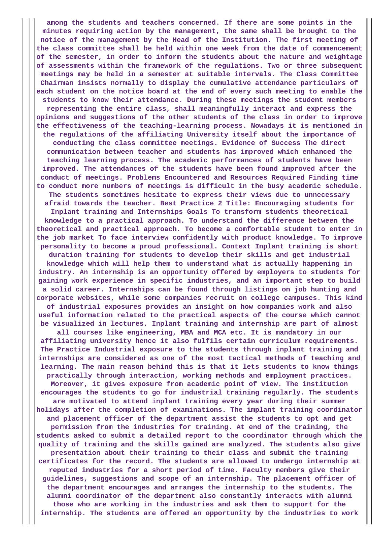**among the students and teachers concerned. If there are some points in the minutes requiring action by the management, the same shall be brought to the notice of the management by the Head of the Institution. The first meeting of the class committee shall be held within one week from the date of commencement of the semester, in order to inform the students about the nature and weightage of assessments within the framework of the regulations. Two or three subsequent meetings may be held in a semester at suitable intervals. The Class Committee Chairman insists normally to display the cumulative attendance particulars of each student on the notice board at the end of every such meeting to enable the students to know their attendance. During these meetings the student members representing the entire class, shall meaningfully interact and express the opinions and suggestions of the other students of the class in order to improve the effectiveness of the teaching-learning process. Nowadays it is mentioned in the regulations of the affiliating University itself about the importance of conducting the class committee meetings. Evidence of Success The direct communication between teacher and students has improved which enhanced the teaching learning process. The academic performances of students have been improved. The attendances of the students have been found improved after the conduct of meetings. Problems Encountered and Resources Required Finding time to conduct more numbers of meetings is difficult in the busy academic schedule. The students sometimes hesitate to express their views due to unnecessary afraid towards the teacher. Best Practice 2 Title: Encouraging students for Inplant training and Internships Goals To transform students theoretical knowledge to a practical approach. To understand the difference between the theoretical and practical approach. To become a comfortable student to enter in the job market To face interview confidently with product knowledge. To improve personality to become a proud professional. Context Inplant training is short duration training for students to develop their skills and get industrial knowledge which will help them to understand what is actually happening in industry. An internship is an opportunity offered by employers to students for gaining work experience in specific industries, and an important step to build a solid career. Internships can be found through listings on job hunting and corporate websites, while some companies recruit on college campuses. This kind of industrial exposures provides an insight on how companies work and also useful information related to the practical aspects of the course which cannot be visualized in lectures. Inplant training and internship are part of almost all courses like engineering, MBA and MCA etc. It is mandatory in our affiliating university hence it also fulfils certain curriculum requirements. The Practice Industrial exposure to the students through inplant training and internships are considered as one of the most tactical methods of teaching and learning. The main reason behind this is that it lets students to know things practically through interaction, working methods and employment practices. Moreover, it gives exposure from academic point of view. The institution encourages the students to go for industrial training regularly. The students are motivated to attend inplant training every year during their summer holidays after the completion of examinations. The implant training coordinator and placement officer of the department assist the students to opt and get permission from the industries for training. At end of the training, the students asked to submit a detailed report to the coordinator through which the quality of training and the skills gained are analyzed. The students also give presentation about their training to their class and submit the training certificates for the record. The students are allowed to undergo internship at reputed industries for a short period of time. Faculty members give their guidelines, suggestions and scope of an internship. The placement officer of the department encourages and arranges the internship to the students. The alumni coordinator of the department also constantly interacts with alumni those who are working in the industries and ask them to support for the internship. The students are offered an opportunity by the industries to work**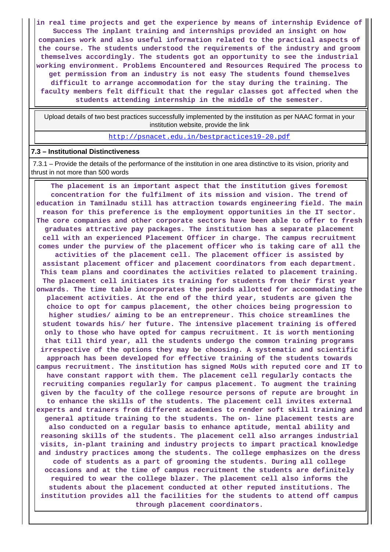**in real time projects and get the experience by means of internship Evidence of Success The inplant training and internships provided an insight on how companies work and also useful information related to the practical aspects of the course. The students understood the requirements of the industry and groom themselves accordingly. The students got an opportunity to see the industrial working environment. Problems Encountered and Resources Required The process to get permission from an industry is not easy The students found themselves difficult to arrange accommodation for the stay during the training. The faculty members felt difficult that the regular classes got affected when the students attending internship in the middle of the semester.**

 Upload details of two best practices successfully implemented by the institution as per NAAC format in your institution website, provide the link

<http://psnacet.edu.in/bestpractices19-20.pdf>

#### **7.3 – Institutional Distinctiveness**

 7.3.1 – Provide the details of the performance of the institution in one area distinctive to its vision, priority and thrust in not more than 500 words

 **The placement is an important aspect that the institution gives foremost concentration for the fulfilment of its mission and vision. The trend of education in Tamilnadu still has attraction towards engineering field. The main reason for this preference is the employment opportunities in the IT sector. The core companies and other corporate sectors have been able to offer to fresh graduates attractive pay packages. The institution has a separate placement cell with an experienced Placement Officer in charge. The campus recruitment comes under the purview of the placement officer who is taking care of all the activities of the placement cell. The placement officer is assisted by assistant placement officer and placement coordinators from each department. This team plans and coordinates the activities related to placement training. The placement cell initiates its training for students from their first year onwards. The time table incorporates the periods allotted for accommodating the placement activities. At the end of the third year, students are given the choice to opt for campus placement, the other choices being progression to higher studies/ aiming to be an entrepreneur. This choice streamlines the student towards his/ her future. The intensive placement training is offered only to those who have opted for campus recruitment. It is worth mentioning that till third year, all the students undergo the common training programs irrespective of the options they may be choosing. A systematic and scientific approach has been developed for effective training of the students towards campus recruitment. The institution has signed MoUs with reputed core and IT to have constant rapport with them. The placement cell regularly contacts the recruiting companies regularly for campus placement. To augment the training given by the faculty of the college resource persons of repute are brought in to enhance the skills of the students. The placement cell invites external experts and trainers from different academies to render soft skill training and general aptitude training to the students. The on- line placement tests are also conducted on a regular basis to enhance aptitude, mental ability and reasoning skills of the students. The placement cell also arranges industrial visits, in-plant training and industry projects to impart practical knowledge and industry practices among the students. The college emphasizes on the dress code of students as a part of grooming the students. During all college occasions and at the time of campus recruitment the students are definitely required to wear the college blazer. The placement cell also informs the students about the placement conducted at other reputed institutions. The institution provides all the facilities for the students to attend off campus through placement coordinators.**